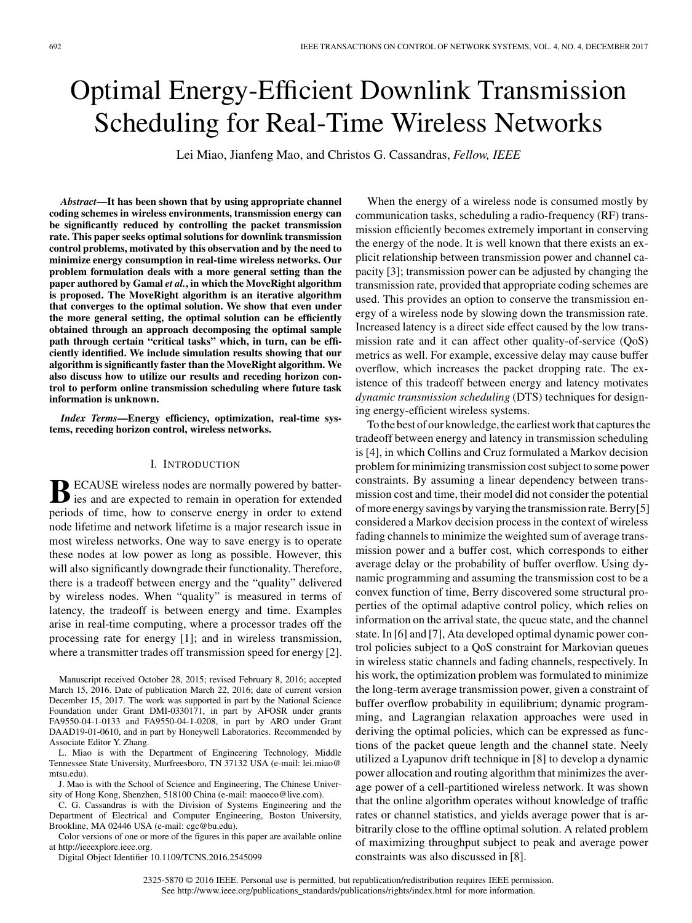# Optimal Energy-Efficient Downlink Transmission Scheduling for Real-Time Wireless Networks

Lei Miao, Jianfeng Mao, and Christos G. Cassandras, *Fellow, IEEE*

*Abstract***—It has been shown that by using appropriate channel coding schemes in wireless environments, transmission energy can be significantly reduced by controlling the packet transmission rate. This paper seeks optimal solutions for downlink transmission control problems, motivated by this observation and by the need to minimize energy consumption in real-time wireless networks. Our problem formulation deals with a more general setting than the paper authored by Gamal** *et al.***, in which the MoveRight algorithm is proposed. The MoveRight algorithm is an iterative algorithm that converges to the optimal solution. We show that even under the more general setting, the optimal solution can be efficiently obtained through an approach decomposing the optimal sample path through certain "critical tasks" which, in turn, can be efficiently identified. We include simulation results showing that our algorithm is significantly faster than the MoveRight algorithm. We also discuss how to utilize our results and receding horizon control to perform online transmission scheduling where future task information is unknown.**

*Index Terms***—Energy efficiency, optimization, real-time systems, receding horizon control, wireless networks.**

## I. INTRODUCTION

**B**ECAUSE wireless nodes are normally powered by batter-<br>ies and are expected to remain in operation for extended periods of time, how to conserve energy in order to extend node lifetime and network lifetime is a major research issue in most wireless networks. One way to save energy is to operate these nodes at low power as long as possible. However, this will also significantly downgrade their functionality. Therefore, there is a tradeoff between energy and the "quality" delivered by wireless nodes. When "quality" is measured in terms of latency, the tradeoff is between energy and time. Examples arise in real-time computing, where a processor trades off the processing rate for energy [1]; and in wireless transmission, where a transmitter trades off transmission speed for energy [2].

J. Mao is with the School of Science and Engineering, The Chinese University of Hong Kong, Shenzhen, 518100 China (e-mail: [maoeco@live.com\)](mailto: maoeco@live.com).

C. G. Cassandras is with the Division of Systems Engineering and the Department of Electrical and Computer Engineering, Boston University, Brookline, MA 02446 USA (e-mail: [cgc@bu.edu\)](mailto: cgc@bu.edu).

Color versions of one or more of the figures in this paper are available online at http://ieeexplore.ieee.org.

Digital Object Identifier 10.1109/TCNS.2016.2545099

When the energy of a wireless node is consumed mostly by communication tasks, scheduling a radio-frequency (RF) transmission efficiently becomes extremely important in conserving the energy of the node. It is well known that there exists an explicit relationship between transmission power and channel capacity [3]; transmission power can be adjusted by changing the transmission rate, provided that appropriate coding schemes are used. This provides an option to conserve the transmission energy of a wireless node by slowing down the transmission rate. Increased latency is a direct side effect caused by the low transmission rate and it can affect other quality-of-service (QoS) metrics as well. For example, excessive delay may cause buffer overflow, which increases the packet dropping rate. The existence of this tradeoff between energy and latency motivates *dynamic transmission scheduling* (DTS) techniques for designing energy-efficient wireless systems.

To the best of our knowledge, the earliest work that captures the tradeoff between energy and latency in transmission scheduling is [4], in which Collins and Cruz formulated a Markov decision problem for minimizing transmission cost subject to some power constraints. By assuming a linear dependency between transmission cost and time, their model did not consider the potential of more energy savings by varying the transmission rate. Berry [5] considered a Markov decision process in the context of wireless fading channels to minimize the weighted sum of average transmission power and a buffer cost, which corresponds to either average delay or the probability of buffer overflow. Using dynamic programming and assuming the transmission cost to be a convex function of time, Berry discovered some structural properties of the optimal adaptive control policy, which relies on information on the arrival state, the queue state, and the channel state. In [6] and [7], Ata developed optimal dynamic power control policies subject to a QoS constraint for Markovian queues in wireless static channels and fading channels, respectively. In his work, the optimization problem was formulated to minimize the long-term average transmission power, given a constraint of buffer overflow probability in equilibrium; dynamic programming, and Lagrangian relaxation approaches were used in deriving the optimal policies, which can be expressed as functions of the packet queue length and the channel state. Neely utilized a Lyapunov drift technique in [8] to develop a dynamic power allocation and routing algorithm that minimizes the average power of a cell-partitioned wireless network. It was shown that the online algorithm operates without knowledge of traffic rates or channel statistics, and yields average power that is arbitrarily close to the offline optimal solution. A related problem of maximizing throughput subject to peak and average power constraints was also discussed in [8].

Manuscript received October 28, 2015; revised February 8, 2016; accepted March 15, 2016. Date of publication March 22, 2016; date of current version December 15, 2017. The work was supported in part by the National Science Foundation under Grant DMI-0330171, in part by AFOSR under grants FA9550-04-1-0133 and FA9550-04-1-0208, in part by ARO under Grant DAAD19-01-0610, and in part by Honeywell Laboratories. Recommended by Associate Editor Y. Zhang.

L. Miao is with the Department of Engineering Technology, Middle Tennessee State University, Murfreesboro, TN 37132 USA (e-mail: [lei.miao@](mailto: lei.miao@mtsu.edu) [mtsu.edu\)](mailto: lei.miao@mtsu.edu).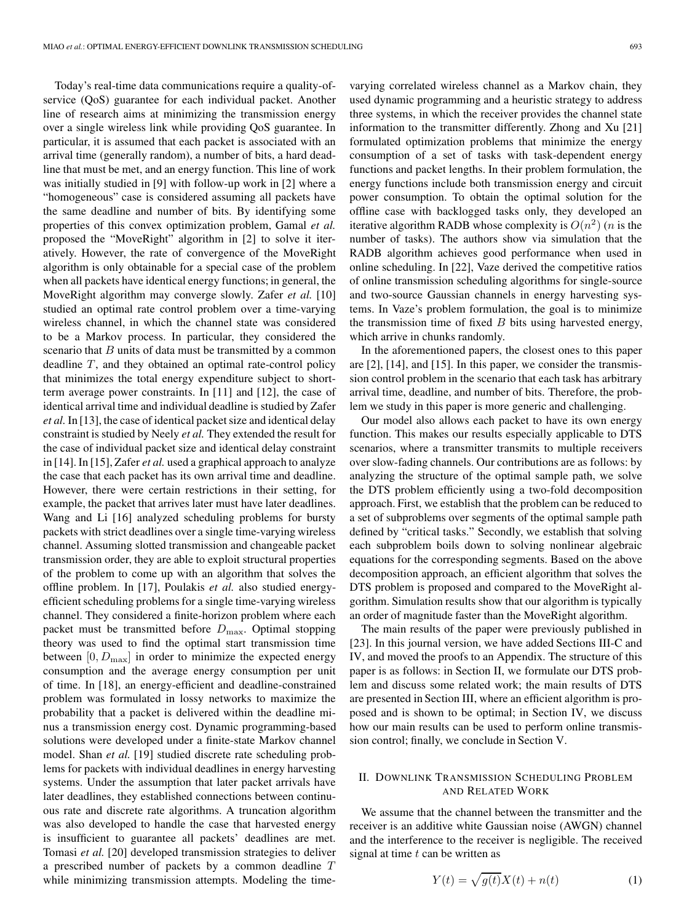Today's real-time data communications require a quality-ofservice (QoS) guarantee for each individual packet. Another line of research aims at minimizing the transmission energy over a single wireless link while providing QoS guarantee. In particular, it is assumed that each packet is associated with an arrival time (generally random), a number of bits, a hard deadline that must be met, and an energy function. This line of work was initially studied in [9] with follow-up work in [2] where a "homogeneous" case is considered assuming all packets have the same deadline and number of bits. By identifying some properties of this convex optimization problem, Gamal *et al.* proposed the "MoveRight" algorithm in [2] to solve it iteratively. However, the rate of convergence of the MoveRight algorithm is only obtainable for a special case of the problem when all packets have identical energy functions; in general, the MoveRight algorithm may converge slowly. Zafer *et al.* [10] studied an optimal rate control problem over a time-varying wireless channel, in which the channel state was considered to be a Markov process. In particular, they considered the scenario that  $B$  units of data must be transmitted by a common deadline  $T$ , and they obtained an optimal rate-control policy that minimizes the total energy expenditure subject to shortterm average power constraints. In [11] and [12], the case of identical arrival time and individual deadline is studied by Zafer *et al.* In [13], the case of identical packet size and identical delay constraint is studied by Neely *et al.* They extended the result for the case of individual packet size and identical delay constraint in [14]. In [15], Zafer *et al.* used a graphical approach to analyze the case that each packet has its own arrival time and deadline. However, there were certain restrictions in their setting, for example, the packet that arrives later must have later deadlines. Wang and Li [16] analyzed scheduling problems for bursty packets with strict deadlines over a single time-varying wireless channel. Assuming slotted transmission and changeable packet transmission order, they are able to exploit structural properties of the problem to come up with an algorithm that solves the offline problem. In [17], Poulakis *et al.* also studied energyefficient scheduling problems for a single time-varying wireless channel. They considered a finite-horizon problem where each packet must be transmitted before  $D_{\text{max}}$ . Optimal stopping theory was used to find the optimal start transmission time between  $[0, D_{\text{max}}]$  in order to minimize the expected energy consumption and the average energy consumption per unit of time. In [18], an energy-efficient and deadline-constrained problem was formulated in lossy networks to maximize the probability that a packet is delivered within the deadline minus a transmission energy cost. Dynamic programming-based solutions were developed under a finite-state Markov channel model. Shan *et al.* [19] studied discrete rate scheduling problems for packets with individual deadlines in energy harvesting systems. Under the assumption that later packet arrivals have later deadlines, they established connections between continuous rate and discrete rate algorithms. A truncation algorithm was also developed to handle the case that harvested energy is insufficient to guarantee all packets' deadlines are met. Tomasi *et al.* [20] developed transmission strategies to deliver a prescribed number of packets by a common deadline T while minimizing transmission attempts. Modeling the time-

varying correlated wireless channel as a Markov chain, they used dynamic programming and a heuristic strategy to address three systems, in which the receiver provides the channel state information to the transmitter differently. Zhong and Xu [21] formulated optimization problems that minimize the energy consumption of a set of tasks with task-dependent energy functions and packet lengths. In their problem formulation, the energy functions include both transmission energy and circuit power consumption. To obtain the optimal solution for the offline case with backlogged tasks only, they developed an iterative algorithm RADB whose complexity is  $O(n^2)$  (*n* is the number of tasks). The authors show via simulation that the RADB algorithm achieves good performance when used in online scheduling. In [22], Vaze derived the competitive ratios of online transmission scheduling algorithms for single-source and two-source Gaussian channels in energy harvesting systems. In Vaze's problem formulation, the goal is to minimize the transmission time of fixed  $B$  bits using harvested energy, which arrive in chunks randomly.

In the aforementioned papers, the closest ones to this paper are [2], [14], and [15]. In this paper, we consider the transmission control problem in the scenario that each task has arbitrary arrival time, deadline, and number of bits. Therefore, the problem we study in this paper is more generic and challenging.

Our model also allows each packet to have its own energy function. This makes our results especially applicable to DTS scenarios, where a transmitter transmits to multiple receivers over slow-fading channels. Our contributions are as follows: by analyzing the structure of the optimal sample path, we solve the DTS problem efficiently using a two-fold decomposition approach. First, we establish that the problem can be reduced to a set of subproblems over segments of the optimal sample path defined by "critical tasks." Secondly, we establish that solving each subproblem boils down to solving nonlinear algebraic equations for the corresponding segments. Based on the above decomposition approach, an efficient algorithm that solves the DTS problem is proposed and compared to the MoveRight algorithm. Simulation results show that our algorithm is typically an order of magnitude faster than the MoveRight algorithm.

The main results of the paper were previously published in [23]. In this journal version, we have added Sections III-C and IV, and moved the proofs to an Appendix. The structure of this paper is as follows: in Section II, we formulate our DTS problem and discuss some related work; the main results of DTS are presented in Section III, where an efficient algorithm is proposed and is shown to be optimal; in Section IV, we discuss how our main results can be used to perform online transmission control; finally, we conclude in Section V.

# II. DOWNLINK TRANSMISSION SCHEDULING PROBLEM AND RELATED WORK

We assume that the channel between the transmitter and the receiver is an additive white Gaussian noise (AWGN) channel and the interference to the receiver is negligible. The received signal at time  $t$  can be written as

$$
Y(t) = \sqrt{g(t)}X(t) + n(t)
$$
 (1)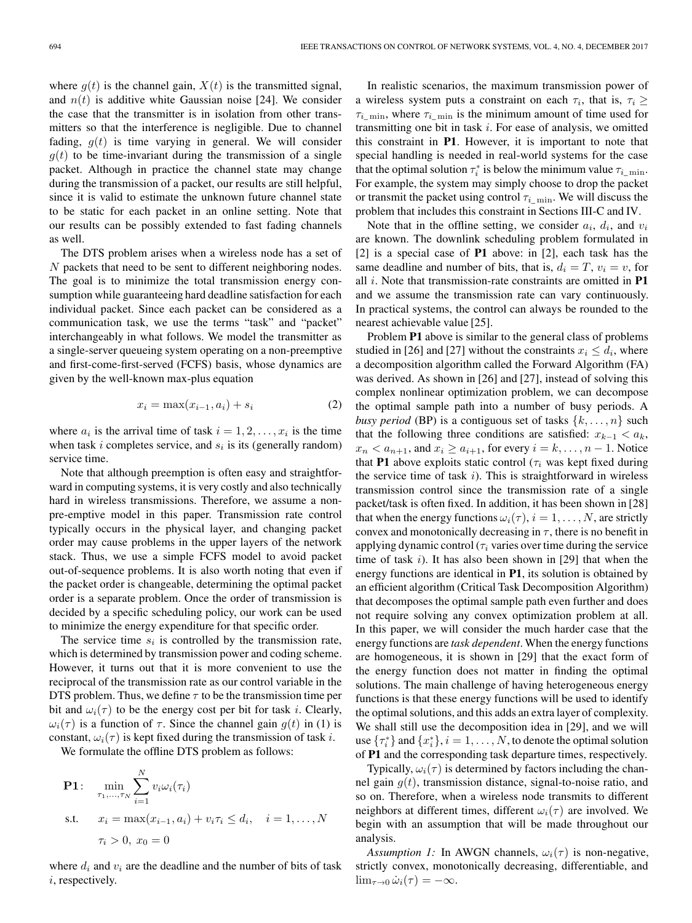where  $g(t)$  is the channel gain,  $X(t)$  is the transmitted signal, and  $n(t)$  is additive white Gaussian noise [24]. We consider the case that the transmitter is in isolation from other transmitters so that the interference is negligible. Due to channel fading,  $q(t)$  is time varying in general. We will consider  $g(t)$  to be time-invariant during the transmission of a single packet. Although in practice the channel state may change during the transmission of a packet, our results are still helpful, since it is valid to estimate the unknown future channel state to be static for each packet in an online setting. Note that our results can be possibly extended to fast fading channels as well.

The DTS problem arises when a wireless node has a set of N packets that need to be sent to different neighboring nodes. The goal is to minimize the total transmission energy consumption while guaranteeing hard deadline satisfaction for each individual packet. Since each packet can be considered as a communication task, we use the terms "task" and "packet" interchangeably in what follows. We model the transmitter as a single-server queueing system operating on a non-preemptive and first-come-first-served (FCFS) basis, whose dynamics are given by the well-known max-plus equation

$$
x_i = \max(x_{i-1}, a_i) + s_i \tag{2}
$$

where  $a_i$  is the arrival time of task  $i = 1, 2, \ldots, x_i$  is the time when task i completes service, and  $s_i$  is its (generally random) service time.

Note that although preemption is often easy and straightforward in computing systems, it is very costly and also technically hard in wireless transmissions. Therefore, we assume a nonpre-emptive model in this paper. Transmission rate control typically occurs in the physical layer, and changing packet order may cause problems in the upper layers of the network stack. Thus, we use a simple FCFS model to avoid packet out-of-sequence problems. It is also worth noting that even if the packet order is changeable, determining the optimal packet order is a separate problem. Once the order of transmission is decided by a specific scheduling policy, our work can be used to minimize the energy expenditure for that specific order.

The service time  $s_i$  is controlled by the transmission rate, which is determined by transmission power and coding scheme. However, it turns out that it is more convenient to use the reciprocal of the transmission rate as our control variable in the DTS problem. Thus, we define  $\tau$  to be the transmission time per bit and  $\omega_i(\tau)$  to be the energy cost per bit for task i. Clearly,  $\omega_i(\tau)$  is a function of  $\tau$ . Since the channel gain  $g(t)$  in (1) is constant,  $\omega_i(\tau)$  is kept fixed during the transmission of task i.

We formulate the offline DTS problem as follows:

**P1:** 
$$
\min_{\tau_1, ..., \tau_N} \sum_{i=1}^N v_i \omega_i(\tau_i)
$$
  
s.t. 
$$
x_i = \max(x_{i-1}, a_i) + v_i \tau_i \le d_i, \quad i = 1, ..., N
$$

$$
\tau_i > 0, x_0 = 0
$$

where  $d_i$  and  $v_i$  are the deadline and the number of bits of task i, respectively.

In realistic scenarios, the maximum transmission power of a wireless system puts a constraint on each  $\tau_i$ , that is,  $\tau_i \geq$  $\tau_{i_{\text{min}}}$ , where  $\tau_{i_{\text{min}}}$  is the minimum amount of time used for transmitting one bit in task  $i$ . For ease of analysis, we omitted this constraint in **P1**. However, it is important to note that special handling is needed in real-world systems for the case that the optimal solution  $\tau_i^*$  is below the minimum value  $\tau_{i_{\text{min}}}$ . For example, the system may simply choose to drop the packet or transmit the packet using control  $\tau_{i\_min}$ . We will discuss the problem that includes this constraint in Sections III-C and IV.

Note that in the offline setting, we consider  $a_i$ ,  $d_i$ , and  $v_i$ are known. The downlink scheduling problem formulated in [2] is a special case of **P1** above: in [2], each task has the same deadline and number of bits, that is,  $d_i = T$ ,  $v_i = v$ , for all i. Note that transmission-rate constraints are omitted in **P1** and we assume the transmission rate can vary continuously. In practical systems, the control can always be rounded to the nearest achievable value [25].

Problem **P1** above is similar to the general class of problems studied in [26] and [27] without the constraints  $x_i \leq d_i$ , where a decomposition algorithm called the Forward Algorithm (FA) was derived. As shown in [26] and [27], instead of solving this complex nonlinear optimization problem, we can decompose the optimal sample path into a number of busy periods. A *busy period* (BP) is a contiguous set of tasks  $\{k, \ldots, n\}$  such that the following three conditions are satisfied:  $x_{k-1} < a_k$ ,  $x_n < a_{n+1}$ , and  $x_i \ge a_{i+1}$ , for every  $i = k, \ldots, n-1$ . Notice that **P1** above exploits static control ( $\tau_i$  was kept fixed during the service time of task  $i$ ). This is straightforward in wireless transmission control since the transmission rate of a single packet/task is often fixed. In addition, it has been shown in [28] that when the energy functions  $\omega_i(\tau)$ ,  $i = 1, \ldots, N$ , are strictly convex and monotonically decreasing in  $\tau$ , there is no benefit in applying dynamic control ( $\tau_i$  varies over time during the service time of task  $i$ ). It has also been shown in [29] that when the energy functions are identical in **P1**, its solution is obtained by an efficient algorithm (Critical Task Decomposition Algorithm) that decomposes the optimal sample path even further and does not require solving any convex optimization problem at all. In this paper, we will consider the much harder case that the energy functions are *task dependent*. When the energy functions are homogeneous, it is shown in [29] that the exact form of the energy function does not matter in finding the optimal solutions. The main challenge of having heterogeneous energy functions is that these energy functions will be used to identify the optimal solutions, and this adds an extra layer of complexity. We shall still use the decomposition idea in [29], and we will use  $\{\tau_i^*\}$  and  $\{x_i^*\}, i = 1, \ldots, N$ , to denote the optimal solution of **P1** and the corresponding task departure times, respectively.

Typically,  $\omega_i(\tau)$  is determined by factors including the channel gain  $g(t)$ , transmission distance, signal-to-noise ratio, and so on. Therefore, when a wireless node transmits to different neighbors at different times, different  $\omega_i(\tau)$  are involved. We begin with an assumption that will be made throughout our analysis.

*Assumption 1:* In AWGN channels,  $\omega_i(\tau)$  is non-negative, strictly convex, monotonically decreasing, differentiable, and  $\lim_{\tau \to 0} \dot{\omega}_i(\tau) = -\infty.$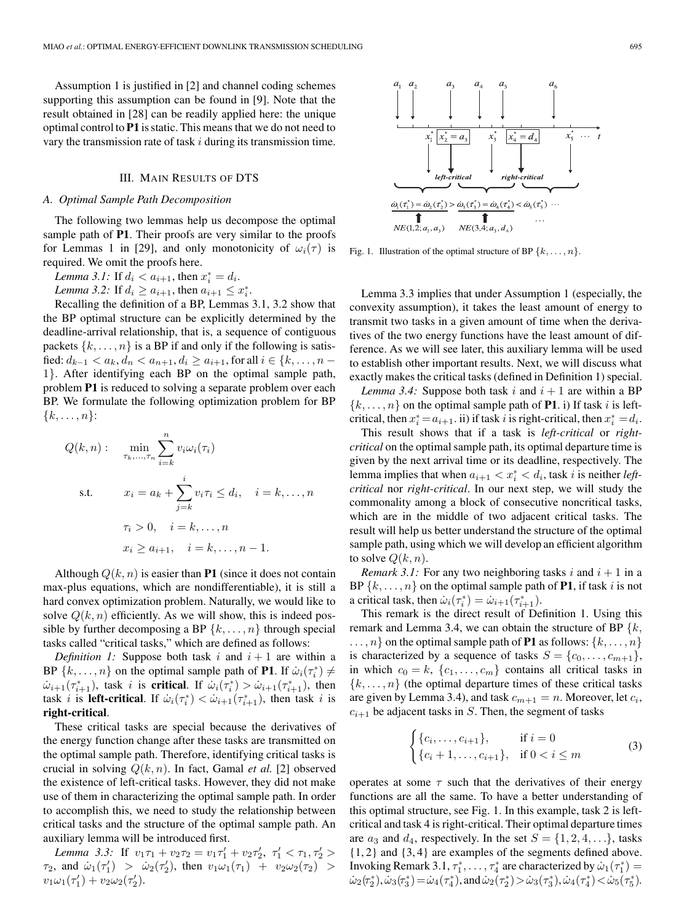Assumption 1 is justified in [2] and channel coding schemes supporting this assumption can be found in [9]. Note that the result obtained in [28] can be readily applied here: the unique optimal control to **P1** is static. This means that we do not need to vary the transmission rate of task  $i$  during its transmission time.

# III. MAIN RESULTS OF DTS

### *A. Optimal Sample Path Decomposition*

The following two lemmas help us decompose the optimal sample path of **P1**. Their proofs are very similar to the proofs for Lemmas 1 in [29], and only monotonicity of  $\omega_i(\tau)$  is required. We omit the proofs here.

*Lemma 3.1:* If  $d_i < a_{i+1}$ , then  $x_i^* = d_i$ .

*Lemma 3.2:* If  $d_i \ge a_{i+1}$ , then  $a_{i+1} \le x_i^*$ .

Recalling the definition of a BP, Lemmas 3.1, 3.2 show that the BP optimal structure can be explicitly determined by the deadline-arrival relationship, that is, a sequence of contiguous packets  $\{k, \ldots, n\}$  is a BP if and only if the following is satisfied:  $d_{k-1} < a_k, d_n < a_{n+1}, d_i \ge a_{i+1}$ , for all  $i \in \{k, ..., n-1\}$ 1}. After identifying each BP on the optimal sample path, problem **P1** is reduced to solving a separate problem over each BP. We formulate the following optimization problem for BP  $\{k,\ldots,n\}$ :

$$
Q(k, n): \quad \min_{\tau_k, \dots, \tau_n} \sum_{i=k}^n v_i \omega_i(\tau_i)
$$
  
s.t. 
$$
x_i = a_k + \sum_{j=k}^i v_i \tau_i \le d_i, \quad i = k, \dots, n
$$

$$
\tau_i > 0, \quad i = k, \dots, n
$$

$$
x_i \ge a_{i+1}, \quad i = k, \dots, n-1.
$$

Although  $Q(k, n)$  is easier than **P1** (since it does not contain max-plus equations, which are nondifferentiable), it is still a hard convex optimization problem. Naturally, we would like to solve  $Q(k, n)$  efficiently. As we will show, this is indeed possible by further decomposing a BP  $\{k, \ldots, n\}$  through special tasks called "critical tasks," which are defined as follows:

*Definition 1:* Suppose both task i and  $i + 1$  are within a BP  $\{k, \ldots, n\}$  on the optimal sample path of **P1**. If  $\dot{\omega}_i(\tau_i^*) \neq$  $\dot{\omega}_{i+1}(\tau_{i+1}^*)$ , task *i* is **critical**. If  $\dot{\omega}_i(\tau_i^*) > \dot{\omega}_{i+1}(\tau_{i+1}^*)$ , then task *i* is **left-critical**. If  $\dot{\omega}_i(\tau_i^*) < \dot{\omega}_{i+1}(\tau_{i+1}^*)$ , then task *i* is **right-critical**.

These critical tasks are special because the derivatives of the energy function change after these tasks are transmitted on the optimal sample path. Therefore, identifying critical tasks is crucial in solving  $Q(k, n)$ . In fact, Gamal *et al.* [2] observed the existence of left-critical tasks. However, they did not make use of them in characterizing the optimal sample path. In order to accomplish this, we need to study the relationship between critical tasks and the structure of the optimal sample path. An auxiliary lemma will be introduced first.

*Lemma 3.3:* If  $v_1 \tau_1 + v_2 \tau_2 = v_1 \tau_1' + v_2 \tau_2', \ \tau_1' < \tau_1, \tau_2' >$  $\tau_2$ , and  $\dot{\omega}_1(\tau_1') > \dot{\omega}_2(\tau_2')$ , then  $v_1\omega_1(\tau_1) + v_2\omega_2(\tau_2) >$  $v_1\omega_1(\tau_1') + v_2\omega_2(\tau_2').$ 



Fig. 1. Illustration of the optimal structure of BP  $\{k, \ldots, n\}$ .

Lemma 3.3 implies that under Assumption 1 (especially, the convexity assumption), it takes the least amount of energy to transmit two tasks in a given amount of time when the derivatives of the two energy functions have the least amount of difference. As we will see later, this auxiliary lemma will be used to establish other important results. Next, we will discuss what exactly makes the critical tasks (defined in Definition 1) special.

*Lemma 3.4:* Suppose both task i and  $i + 1$  are within a BP  $\{k,\ldots,n\}$  on the optimal sample path of **P1**. i) If task i is leftcritical, then  $x_i^* = a_{i+1}$ . ii) if task i is right-critical, then  $x_i^* = d_i$ .

This result shows that if a task is *left-critical* or *rightcritical* on the optimal sample path, its optimal departure time is given by the next arrival time or its deadline, respectively. The lemma implies that when  $a_{i+1} < x_i^* < d_i$ , task i is neither *leftcritical* nor *right-critical*. In our next step, we will study the commonality among a block of consecutive noncritical tasks, which are in the middle of two adjacent critical tasks. The result will help us better understand the structure of the optimal sample path, using which we will develop an efficient algorithm to solve  $Q(k, n)$ .

*Remark 3.1:* For any two neighboring tasks i and  $i + 1$  in a BP  $\{k, \ldots, n\}$  on the optimal sample path of **P1**, if task i is not a critical task, then  $\dot{\omega}_i(\tau_i^*) = \dot{\omega}_{i+1}(\tau_{i+1}^*)$ .

This remark is the direct result of Definition 1. Using this remark and Lemma 3.4, we can obtain the structure of BP  $\{k,$  $\ldots$ , n on the optimal sample path of **P1** as follows:  $\{k,\ldots,n\}$ is characterized by a sequence of tasks  $S = \{c_0, \ldots, c_{m+1}\},\$ in which  $c_0 = k$ ,  $\{c_1, \ldots, c_m\}$  contains all critical tasks in  ${k, \ldots, n}$  (the optimal departure times of these critical tasks are given by Lemma 3.4), and task  $c_{m+1} = n$ . Moreover, let  $c_i$ ,  $c_{i+1}$  be adjacent tasks in S. Then, the segment of tasks

$$
\begin{cases} \{c_i, \dots, c_{i+1}\}, & \text{if } i = 0\\ \{c_i + 1, \dots, c_{i+1}\}, & \text{if } 0 < i \le m \end{cases}
$$
 (3)

operates at some  $\tau$  such that the derivatives of their energy functions are all the same. To have a better understanding of this optimal structure, see Fig. 1. In this example, task 2 is leftcritical and task 4 is right-critical. Their optimal departure times are  $a_3$  and  $d_4$ , respectively. In the set  $S = \{1, 2, 4, \ldots\}$ , tasks {1, 2} and {3, 4} are examples of the segments defined above. Invoking Remark 3.1,  $\tau_1^*, \ldots, \tau_4^*$  are characterized by  $\dot{\omega}_1(\tau_1^*) =$  $\dot{\omega}_2(\tau_2^*), \dot{\omega}_3(\tau_3^*) = \dot{\omega}_4(\tau_4^*), \text{and } \dot{\omega}_2(\tau_2^*) > \dot{\omega}_3(\tau_3^*), \dot{\omega}_4(\tau_4^*) < \dot{\omega}_5(\tau_5^*).$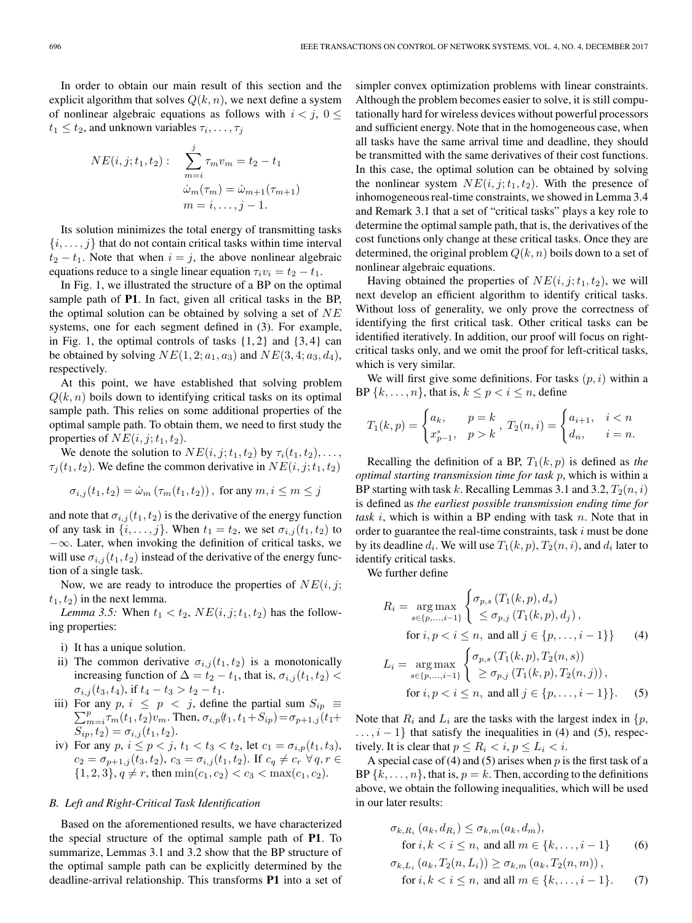In order to obtain our main result of this section and the explicit algorithm that solves  $Q(k, n)$ , we next define a system of nonlinear algebraic equations as follows with  $i < j$ ,  $0 \leq$  $t_1 \leq t_2$ , and unknown variables  $\tau_i, \ldots, \tau_j$ 

$$
NE(i, j; t_1, t_2): \sum_{m=i}^{j} \tau_m v_m = t_2 - t_1
$$
  

$$
\dot{\omega}_m(\tau_m) = \dot{\omega}_{m+1}(\tau_{m+1})
$$
  

$$
m = i, \dots, j - 1.
$$

Its solution minimizes the total energy of transmitting tasks  $\{i, \ldots, j\}$  that do not contain critical tasks within time interval  $t_2 - t_1$ . Note that when  $i = j$ , the above nonlinear algebraic equations reduce to a single linear equation  $\tau_i v_i = t_2 - t_1$ .

In Fig. 1, we illustrated the structure of a BP on the optimal sample path of **P1**. In fact, given all critical tasks in the BP, the optimal solution can be obtained by solving a set of  $NE$ systems, one for each segment defined in (3). For example, in Fig. 1, the optimal controls of tasks  $\{1, 2\}$  and  $\{3, 4\}$  can be obtained by solving  $NE(1, 2; a_1, a_3)$  and  $NE(3, 4; a_3, d_4)$ , respectively.

At this point, we have established that solving problem  $Q(k, n)$  boils down to identifying critical tasks on its optimal sample path. This relies on some additional properties of the optimal sample path. To obtain them, we need to first study the properties of  $NE(i, j; t_1, t_2)$ .

We denote the solution to  $NE(i, j; t_1, t_2)$  by  $\tau_i(t_1, t_2), \ldots$ ,  $\tau_i(t_1, t_2)$ . We define the common derivative in  $NE(i, j; t_1, t_2)$ 

$$
\sigma_{i,j}(t_1, t_2) = \dot{\omega}_m \left( \tau_m(t_1, t_2) \right), \text{ for any } m, i \le m \le j
$$

and note that  $\sigma_{i,j}(t_1, t_2)$  is the derivative of the energy function of any task in  $\{i, \ldots, j\}$ . When  $t_1 = t_2$ , we set  $\sigma_{i,j}(t_1, t_2)$  to  $-\infty$ . Later, when invoking the definition of critical tasks, we will use  $\sigma_{i,j}(t_1, t_2)$  instead of the derivative of the energy function of a single task.

Now, we are ready to introduce the properties of  $NE(i, j;$  $t_1, t_2$ ) in the next lemma.

*Lemma 3.5:* When  $t_1 < t_2$ ,  $NE(i, j; t_1, t_2)$  has the following properties:

- i) It has a unique solution.
- ii) The common derivative  $\sigma_{i,j}(t_1, t_2)$  is a monotonically increasing function of  $\Delta = t_2 - t_1$ , that is,  $\sigma_{i,j}(t_1, t_2)$  $\sigma_{i,j}(t_3, t_4)$ , if  $t_4 - t_3 > t_2 - t_1$ .
- iii) For any  $p, i \leq p < j$ , define the partial sum  $S_{ip} \equiv \sum_{r=0}^{p} \frac{f(t+r)}{r}$  $\sum_{m=i}^{p} \tau_m(t_1, t_2) v_m$ . Then,  $\sigma_{i,p}(t_1, t_1+S_{ip})=\sigma_{p+1,j} (t_1+B_{ip})$  $S_{ip}, t_2) = \sigma_{i,j}(t_1, t_2).$
- iv) For any  $p, i \leq p < j, t_1 < t_3 < t_2$ , let  $c_1 = \sigma_{i,p}(t_1, t_3)$ ,  $c_2 = \sigma_{p+1,j}(t_3, t_2), c_3 = \sigma_{i,j}(t_1, t_2).$  If  $c_q \neq c_r \,\forall q, r \in$  $\{1, 2, 3\}, q \neq r$ , then  $\min(c_1, c_2) < c_3 < \max(c_1, c_2)$ .

# *B. Left and Right-Critical Task Identification*

Based on the aforementioned results, we have characterized the special structure of the optimal sample path of **P1**. To summarize, Lemmas 3.1 and 3.2 show that the BP structure of the optimal sample path can be explicitly determined by the deadline-arrival relationship. This transforms **P1** into a set of simpler convex optimization problems with linear constraints. Although the problem becomes easier to solve, it is still computationally hard for wireless devices without powerful processors and sufficient energy. Note that in the homogeneous case, when all tasks have the same arrival time and deadline, they should be transmitted with the same derivatives of their cost functions. In this case, the optimal solution can be obtained by solving the nonlinear system  $NE(i, j; t_1, t_2)$ . With the presence of inhomogeneous real-time constraints, we showed in Lemma 3.4 and Remark 3.1 that a set of "critical tasks" plays a key role to determine the optimal sample path, that is, the derivatives of the cost functions only change at these critical tasks. Once they are determined, the original problem  $Q(k, n)$  boils down to a set of nonlinear algebraic equations.

Having obtained the properties of  $NE(i, j; t_1, t_2)$ , we will next develop an efficient algorithm to identify critical tasks. Without loss of generality, we only prove the correctness of identifying the first critical task. Other critical tasks can be identified iteratively. In addition, our proof will focus on rightcritical tasks only, and we omit the proof for left-critical tasks, which is very similar.

We will first give some definitions. For tasks  $(p, i)$  within a BP  $\{k,\ldots,n\}$ , that is,  $k \leq p < i \leq n$ , define

$$
T_1(k,p) = \begin{cases} a_k, & p=k \\ x_{p-1}^*, & p>k \end{cases}, T_2(n,i) = \begin{cases} a_{i+1}, & i < n \\ d_n, & i = n. \end{cases}
$$

Recalling the definition of a BP,  $T_1(k, p)$  is defined as *the optimal starting transmission time for task* p, which is within a BP starting with task k. Recalling Lemmas 3.1 and 3.2,  $T_2(n, i)$ is defined as *the earliest possible transmission ending time for task* i, which is within a BP ending with task n. Note that in order to guarantee the real-time constraints, task  $i$  must be done by its deadline  $d_i$ . We will use  $T_1(k, p)$ ,  $T_2(n, i)$ , and  $d_i$  later to identify critical tasks.

We further define

$$
R_{i} = \underset{s \in \{p, \ldots, i-1\}}{\arg \max} \begin{cases} \sigma_{p,s} (T_{1}(k, p), d_{s}) \\ \leq \sigma_{p,j} (T_{1}(k, p), d_{j}), \end{cases}
$$
  
for  $i, p < i \leq n$ , and all  $j \in \{p, \ldots, i-1\}$  (4)  

$$
L_{i} = \underset{s \in \{p, \ldots, i-1\}}{\arg \max} \begin{cases} \sigma_{p,s} (T_{1}(k, p), T_{2}(n, s)) \\ \geq \sigma_{p,j} (T_{1}(k, p), T_{2}(n, j)), \end{cases}
$$
  
for  $i, p < i \leq n$ , and all  $j \in \{p, \ldots, i-1\}$ . (5)

Note that  $R_i$  and  $L_i$  are the tasks with the largest index in  $\{p,$  $\dots$ ,  $i - 1$ } that satisfy the inequalities in (4) and (5), respectively. It is clear that  $p \leq R_i < i$ ,  $p \leq L_i < i$ .

A special case of (4) and (5) arises when  $p$  is the first task of a BP  $\{k,\ldots,n\}$ , that is,  $p = k$ . Then, according to the definitions above, we obtain the following inequalities, which will be used in our later results:

$$
\sigma_{k,R_i}(a_k, d_{R_i}) \le \sigma_{k,m}(a_k, d_m),
$$
  
for  $i, k < i \le n$ , and all  $m \in \{k, ..., i-1\}$  (6)  

$$
\sigma_{k,L_i}(a_k, T_2(n, L_i)) \ge \sigma_{k,m}(a_k, T_2(n, m)),
$$

for 
$$
i, k < i \leq n
$$
, and all  $m \in \{k, \ldots, i-1\}$ . (7)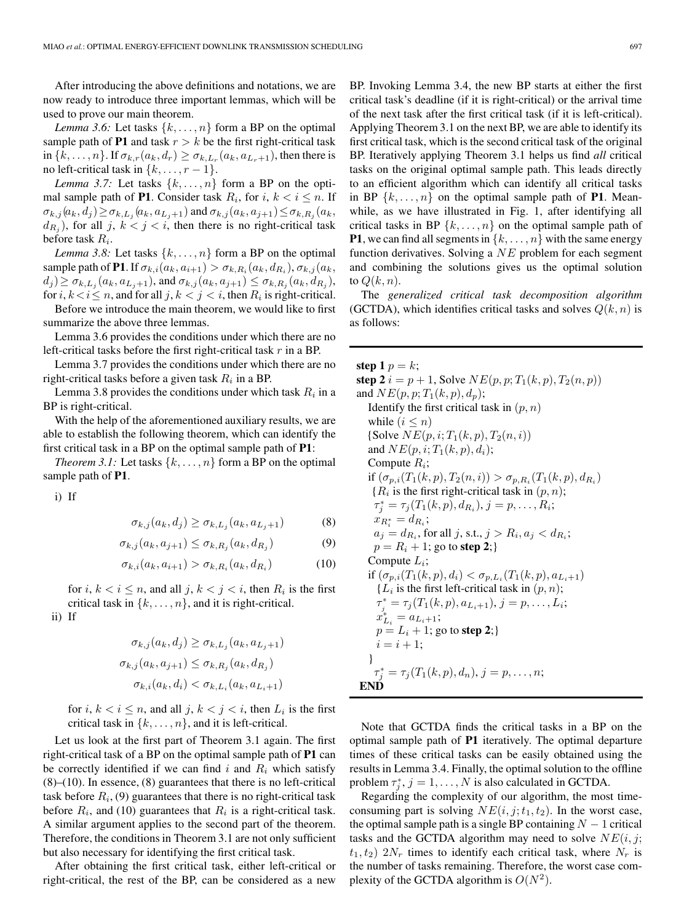After introducing the above definitions and notations, we are now ready to introduce three important lemmas, which will be used to prove our main theorem.

*Lemma 3.6:* Let tasks  $\{k, \ldots, n\}$  form a BP on the optimal sample path of **P1** and task  $r > k$  be the first right-critical task in  $\{k,\ldots,n\}$ . If  $\sigma_{k,r}(a_k, d_r) \geq \sigma_{k,L_r}(a_k, a_{L_r+1})$ , then there is no left-critical task in  $\{k,\ldots,r-1\}$ .

*Lemma 3.7:* Let tasks  $\{k, \ldots, n\}$  form a BP on the optimal sample path of **P1**. Consider task  $R_i$ , for  $i, k < i \leq n$ . If  $\sigma_{k,j}(a_k, d_j) \geq \sigma_{k,L_j}(a_k, a_{L_j+1})$  and  $\sigma_{k,j}(a_k, a_{j+1}) \leq \sigma_{k,R_j}(a_k, d_j)$  $d_{R_i}$ ), for all j,  $k < j < i$ , then there is no right-critical task before task  $R_i$ .

*Lemma 3.8:* Let tasks  $\{k, \ldots, n\}$  form a BP on the optimal sample path of **P1**. If  $\sigma_{k,i}(a_k, a_{i+1}) > \sigma_{k,R_i}(a_k, d_{R_i}), \sigma_{k,j}(a_k,$  $(d_j) \geq \sigma_{k,L_i}(a_k, a_{L_i+1}),$  and  $\sigma_{k,j}(a_k, a_{j+1}) \leq \sigma_{k,R_i}(a_k, a_{R_i}),$ for  $i, k < i \leq n$ , and for all  $j, k < j < i$ , then  $R_i$  is right-critical.

Before we introduce the main theorem, we would like to first summarize the above three lemmas.

Lemma 3.6 provides the conditions under which there are no left-critical tasks before the first right-critical task  $r$  in a BP.

Lemma 3.7 provides the conditions under which there are no right-critical tasks before a given task  $R_i$  in a BP.

Lemma 3.8 provides the conditions under which task  $R_i$  in a BP is right-critical.

With the help of the aforementioned auxiliary results, we are able to establish the following theorem, which can identify the first critical task in a BP on the optimal sample path of **P1**:

*Theorem 3.1:* Let tasks  $\{k, \ldots, n\}$  form a BP on the optimal sample path of **P1**.

i) If

$$
\sigma_{k,j}(a_k, d_j) \ge \sigma_{k,L_j}(a_k, a_{L_j+1})\tag{8}
$$

$$
\sigma_{k,j}(a_k, a_{j+1}) \le \sigma_{k,R_j}(a_k, d_{R_j}) \tag{9}
$$

$$
\sigma_{k,i}(a_k, a_{i+1}) > \sigma_{k,R_i}(a_k, d_{R_i})
$$
\n(10)

for  $i, k < i \leq n$ , and all  $j, k < j < i$ , then  $R_i$  is the first critical task in  $\{k, \ldots, n\}$ , and it is right-critical.

ii) If

$$
\sigma_{k,j}(a_k, d_j) \ge \sigma_{k,L_j}(a_k, a_{L_j+1})
$$
  

$$
\sigma_{k,j}(a_k, a_{j+1}) \le \sigma_{k,R_j}(a_k, d_{R_j})
$$
  

$$
\sigma_{k,i}(a_k, d_i) < \sigma_{k,L_i}(a_k, a_{L_i+1})
$$

for i,  $k < i \leq n$ , and all j,  $k < j < i$ , then  $L_i$  is the first critical task in  $\{k, \ldots, n\}$ , and it is left-critical.

Let us look at the first part of Theorem 3.1 again. The first right-critical task of a BP on the optimal sample path of **P1** can be correctly identified if we can find i and  $R_i$  which satisfy  $(8)$ – $(10)$ . In essence,  $(8)$  guarantees that there is no left-critical task before  $R_i$ , (9) guarantees that there is no right-critical task before  $R_i$ , and (10) guarantees that  $R_i$  is a right-critical task. A similar argument applies to the second part of the theorem. Therefore, the conditions in Theorem 3.1 are not only sufficient but also necessary for identifying the first critical task.

After obtaining the first critical task, either left-critical or right-critical, the rest of the BP, can be considered as a new

BP. Invoking Lemma 3.4, the new BP starts at either the first critical task's deadline (if it is right-critical) or the arrival time of the next task after the first critical task (if it is left-critical). Applying Theorem 3.1 on the next BP, we are able to identify its first critical task, which is the second critical task of the original BP. Iteratively applying Theorem 3.1 helps us find *all* critical tasks on the original optimal sample path. This leads directly to an efficient algorithm which can identify all critical tasks in BP  $\{k, \ldots, n\}$  on the optimal sample path of **P1**. Meanwhile, as we have illustrated in Fig. 1, after identifying all critical tasks in BP  $\{k, \ldots, n\}$  on the optimal sample path of **P1**, we can find all segments in  $\{k, \ldots, n\}$  with the same energy function derivatives. Solving a  $NE$  problem for each segment and combining the solutions gives us the optimal solution to  $Q(k, n)$ .

The *generalized critical task decomposition algorithm* (GCTDA), which identifies critical tasks and solves  $Q(k, n)$  is as follows:

**step 1**  $p = k$ ; **step 2**  $i = p + 1$ , Solve  $NE(p, p; T_1(k, p), T_2(n, p))$ and  $NE(p, p; T_1(k, p), d_p);$ Identify the first critical task in  $(p, n)$ while  $(i \leq n)$ {Solve  $NE(p, i; T_1(k, p), T_2(n, i))$ and  $NE(p, i; T_1(k, p), d_i);$ Compute  $R_i$ ; if  $(\sigma_{p,i}(T_1(k, p), T_2(n, i)) > \sigma_{p,R_i}(T_1(k, p), d_{R_i})$  ${R_i}$  is the first right-critical task in  $(p, n)$ ;  $\tau_j^* = \tau_j(T_1(k, p), d_{R_i}), j = p, \ldots, R_i;$  $x_{R_i^*} = d_{R_i};$  $a_j = d_{R_i}$ , for all j, s.t.,  $j > R_i, a_j < d_{R_i}$ ;  $p = R_i + 1$ ; go to **step 2**;} Compute  $L_i$ ; if  $(\sigma_{p,i}(T_1(k,p), d_i) < \sigma_{p,L_i}(T_1(k,p), a_{L_i+1})$  ${L_i}$  is the first left-critical task in  $(p, n)$ ;  $\tau_j^* = \tau_j(T_1(k, p), a_{L_i+1}), j = p, \ldots, L_i;$  $x_{L_i}^* = a_{L_i+1};$  $p = L_i + 1$ ; go to **step 2**;}  $i = i + 1;$ }  $\tau_j^* = \tau_j(T_1(k, p), d_n), j = p, \ldots, n;$ **END**

Note that GCTDA finds the critical tasks in a BP on the optimal sample path of **P1** iteratively. The optimal departure times of these critical tasks can be easily obtained using the results in Lemma 3.4. Finally, the optimal solution to the offline problem  $\tau_j^*$ ,  $j = 1, \ldots, N$  is also calculated in GCTDA.

Regarding the complexity of our algorithm, the most timeconsuming part is solving  $NE(i, j; t_1, t_2)$ . In the worst case, the optimal sample path is a single BP containing  $N - 1$  critical tasks and the GCTDA algorithm may need to solve  $NE(i, j;$  $t_1, t_2$ )  $2N_r$  times to identify each critical task, where  $N_r$  is the number of tasks remaining. Therefore, the worst case complexity of the GCTDA algorithm is  $O(N^2)$ .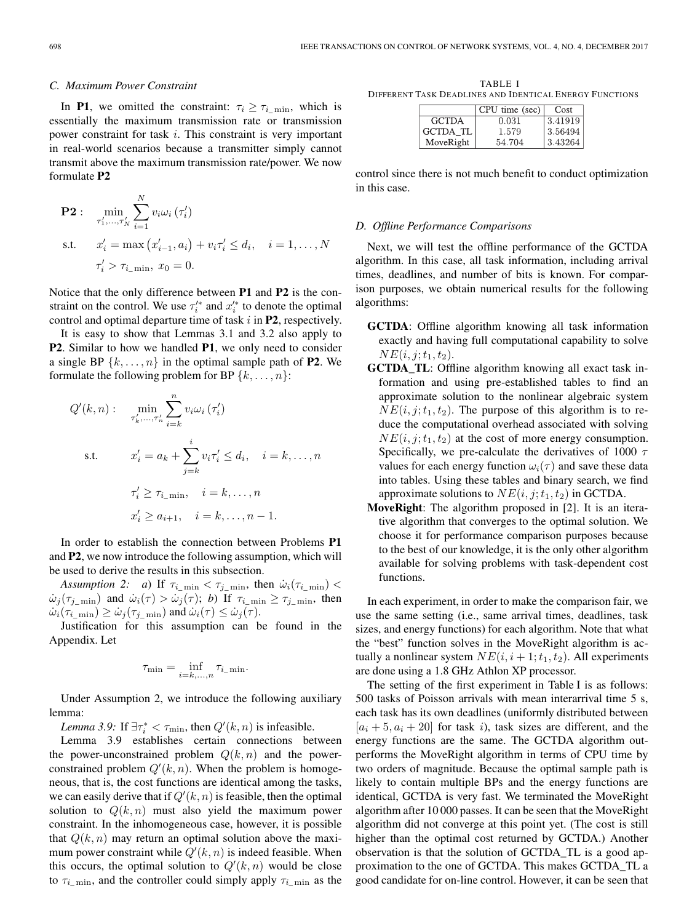## *C. Maximum Power Constraint*

In **P1**, we omitted the constraint:  $\tau_i \geq \tau_i$  min, which is essentially the maximum transmission rate or transmission power constraint for task i. This constraint is very important in real-world scenarios because a transmitter simply cannot transmit above the maximum transmission rate/power. We now formulate **P2**

$$
\begin{aligned} \mathbf{P2}: \quad & \min_{\tau'_1, \dots, \tau'_N} \sum_{i=1}^N v_i \omega_i (\tau'_i) \\ \text{s.t.} \quad & x'_i = \max (x'_{i-1}, a_i) + v_i \tau'_i \le d_i, \quad i = 1, \dots, N \\ & \tau'_i > \tau_{i_{\text{min}}}, x_0 = 0. \end{aligned}
$$

Notice that the only difference between **P1** and **P2** is the constraint on the control. We use  $\tau_i^{\prime*}$  and  $x_i^{\prime*}$  to denote the optimal control and optimal departure time of task i in **P2**, respectively.

It is easy to show that Lemmas 3.1 and 3.2 also apply to **P2**. Similar to how we handled **P1**, we only need to consider a single BP  $\{k, \ldots, n\}$  in the optimal sample path of **P2**. We formulate the following problem for BP  $\{k,\ldots,n\}$ :

$$
Q'(k, n): \min_{\tau'_k, \dots, \tau'_n} \sum_{i=k}^n v_i \omega_i (\tau'_i)
$$
  
s.t. 
$$
x'_i = a_k + \sum_{j=k}^i v_i \tau'_i \leq d_i, \quad i = k, \dots, n
$$

$$
\tau'_i \geq \tau_{i_{-}} \min, \quad i = k, \dots, n
$$

$$
x'_i \geq a_{i+1}, \quad i = k, \dots, n-1.
$$

In order to establish the connection between Problems **P1** and **P2**, we now introduce the following assumption, which will be used to derive the results in this subsection.

*Assumption 2: a)* If  $\tau_{i_{\text{min}}} < \tau_{j_{\text{min}}}$ , then  $\dot{\omega}_i(\tau_{i_{\text{min}}})$  <  $\dot{\omega}_j(\tau_{j_{\text{min}}})$  and  $\dot{\omega}_i(\tau) > \dot{\omega}_j(\tau)$ ; *b*) If  $\tau_{i_{\text{min}}} \ge \tau_{j_{\text{min}}}$ , then  $\dot{\omega}_i(\tau_{i_{\text{min}}}) \ge \dot{\omega}_j(\tau_{j_{\text{min}}})$  and  $\dot{\omega}_i(\tau) \le \dot{\omega}_j(\tau)$ .

Justification for this assumption can be found in the Appendix. Let

$$
\tau_{\min}=\inf_{i=k,\ldots,n}\tau_{i_{-}\min}.
$$

Under Assumption 2, we introduce the following auxiliary lemma:

*Lemma 3.9:* If  $\exists \tau_i^* < \tau_{\min}$ , then  $Q'(k, n)$  is infeasible.

Lemma 3.9 establishes certain connections between the power-unconstrained problem  $Q(k, n)$  and the powerconstrained problem  $Q'(k, n)$ . When the problem is homogeneous, that is, the cost functions are identical among the tasks, we can easily derive that if  $Q'(k, n)$  is feasible, then the optimal solution to  $Q(k, n)$  must also yield the maximum power constraint. In the inhomogeneous case, however, it is possible that  $Q(k, n)$  may return an optimal solution above the maximum power constraint while  $Q'(k, n)$  is indeed feasible. When this occurs, the optimal solution to  $Q'(k, n)$  would be close to  $\tau_{i\_min}$ , and the controller could simply apply  $\tau_{i\_min}$  as the

TABLE I DIFFERENT TASK DEADLINES AND IDENTICAL ENERGY FUNCTIONS

|              | CPU time (sec) | Cost    |
|--------------|----------------|---------|
| <b>GCTDA</b> | 0.031          | 3.41919 |
| GCTDA TL     | 1.579          | 3.56494 |
| MoveRight    | 54.704         | 3.43264 |

control since there is not much benefit to conduct optimization in this case.

#### *D. Offline Performance Comparisons*

Next, we will test the offline performance of the GCTDA algorithm. In this case, all task information, including arrival times, deadlines, and number of bits is known. For comparison purposes, we obtain numerical results for the following algorithms:

- **GCTDA**: Offline algorithm knowing all task information exactly and having full computational capability to solve  $NE(i, j; t_1, t_2).$
- **GCTDA** TL: Offline algorithm knowing all exact task information and using pre-established tables to find an approximate solution to the nonlinear algebraic system  $NE(i, j; t_1, t_2)$ . The purpose of this algorithm is to reduce the computational overhead associated with solving  $NE(i, j; t_1, t_2)$  at the cost of more energy consumption. Specifically, we pre-calculate the derivatives of 1000  $\tau$ values for each energy function  $\omega_i(\tau)$  and save these data into tables. Using these tables and binary search, we find approximate solutions to  $NE(i, j; t_1, t_2)$  in GCTDA.
- **MoveRight**: The algorithm proposed in [2]. It is an iterative algorithm that converges to the optimal solution. We choose it for performance comparison purposes because to the best of our knowledge, it is the only other algorithm available for solving problems with task-dependent cost functions.

In each experiment, in order to make the comparison fair, we use the same setting (i.e., same arrival times, deadlines, task sizes, and energy functions) for each algorithm. Note that what the "best" function solves in the MoveRight algorithm is actually a nonlinear system  $NE(i, i + 1; t_1, t_2)$ . All experiments are done using a 1.8 GHz Athlon XP processor.

The setting of the first experiment in Table I is as follows: 500 tasks of Poisson arrivals with mean interarrival time 5 s, each task has its own deadlines (uniformly distributed between  $[a_i + 5, a_i + 20]$  for task i), task sizes are different, and the energy functions are the same. The GCTDA algorithm outperforms the MoveRight algorithm in terms of CPU time by two orders of magnitude. Because the optimal sample path is likely to contain multiple BPs and the energy functions are identical, GCTDA is very fast. We terminated the MoveRight algorithm after 10 000 passes. It can be seen that the MoveRight algorithm did not converge at this point yet. (The cost is still higher than the optimal cost returned by GCTDA.) Another observation is that the solution of GCTDA\_TL is a good approximation to the one of GCTDA. This makes GCTDA\_TL a good candidate for on-line control. However, it can be seen that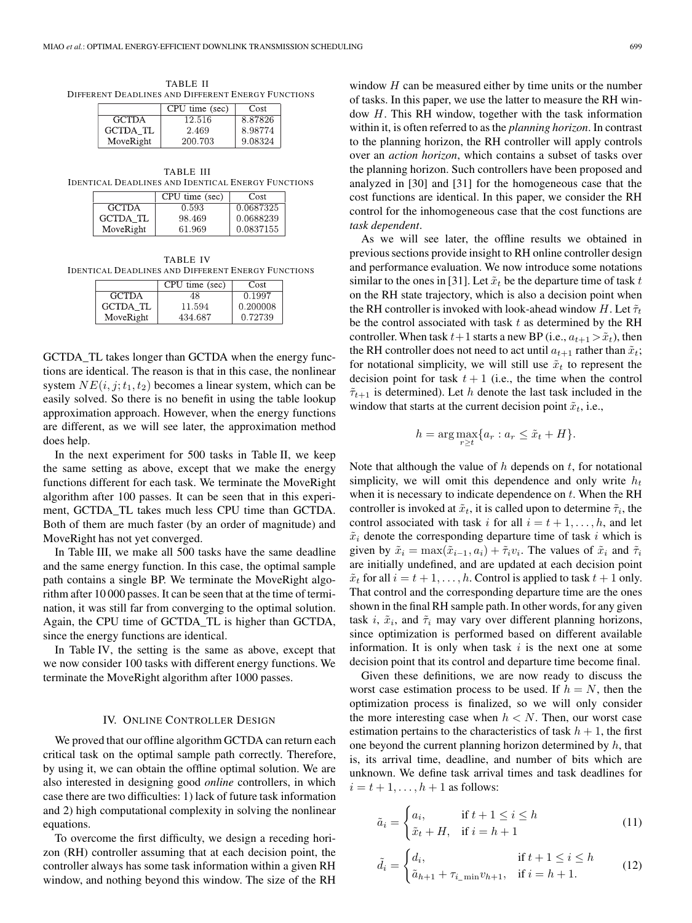TABLE II DIFFERENT DEADLINES AND DIFFERENT ENERGY FUNCTIONS

|                 | CPU time (sec) | Cost    |
|-----------------|----------------|---------|
| <b>GCTDA</b>    | 12.516         | 8.87826 |
| <b>GCTDA TL</b> | 2.469          | 8.98774 |
| MoveRight       | 200.703        | 9.08324 |

TABLE III IDENTICAL DEADLINES AND IDENTICAL ENERGY FUNCTIONS

|                 | CPU time (sec) | Cost      |
|-----------------|----------------|-----------|
| <b>GCTDA</b>    | 0.593          | 0.0687325 |
| <b>GCTDA TL</b> | 98.469         | 0.0688239 |
| MoveRight       | 61.969         | 0.0837155 |

TABLE IV IDENTICAL DEADLINES AND DIFFERENT ENERGY FUNCTIONS

|                 | CPU time (sec) | Cost     |
|-----------------|----------------|----------|
| <b>GCTDA</b>    | 48             | 0.1997   |
| <b>GCTDA TL</b> | 11.594         | 0.200008 |
| MoveRight       | 434.687        | 0.72739  |

GCTDA\_TL takes longer than GCTDA when the energy functions are identical. The reason is that in this case, the nonlinear system  $NE(i, j; t_1, t_2)$  becomes a linear system, which can be easily solved. So there is no benefit in using the table lookup approximation approach. However, when the energy functions are different, as we will see later, the approximation method does help.

In the next experiment for 500 tasks in Table II, we keep the same setting as above, except that we make the energy functions different for each task. We terminate the MoveRight algorithm after 100 passes. It can be seen that in this experiment, GCTDA\_TL takes much less CPU time than GCTDA. Both of them are much faster (by an order of magnitude) and MoveRight has not yet converged.

In Table III, we make all 500 tasks have the same deadline and the same energy function. In this case, the optimal sample path contains a single BP. We terminate the MoveRight algorithm after 10 000 passes. It can be seen that at the time of termination, it was still far from converging to the optimal solution. Again, the CPU time of GCTDA\_TL is higher than GCTDA, since the energy functions are identical.

In Table IV, the setting is the same as above, except that we now consider 100 tasks with different energy functions. We terminate the MoveRight algorithm after 1000 passes.

## IV. ONLINE CONTROLLER DESIGN

We proved that our offline algorithm GCTDA can return each critical task on the optimal sample path correctly. Therefore, by using it, we can obtain the offline optimal solution. We are also interested in designing good *online* controllers, in which case there are two difficulties: 1) lack of future task information and 2) high computational complexity in solving the nonlinear equations.

To overcome the first difficulty, we design a receding horizon (RH) controller assuming that at each decision point, the controller always has some task information within a given RH window, and nothing beyond this window. The size of the RH

window  $H$  can be measured either by time units or the number of tasks. In this paper, we use the latter to measure the RH window H. This RH window, together with the task information within it, is often referred to as the *planning horizon*. In contrast to the planning horizon, the RH controller will apply controls over an *action horizon*, which contains a subset of tasks over the planning horizon. Such controllers have been proposed and analyzed in [30] and [31] for the homogeneous case that the cost functions are identical. In this paper, we consider the RH control for the inhomogeneous case that the cost functions are *task dependent*.

As we will see later, the offline results we obtained in previous sections provide insight to RH online controller design and performance evaluation. We now introduce some notations similar to the ones in [31]. Let  $\tilde{x}_t$  be the departure time of task t on the RH state trajectory, which is also a decision point when the RH controller is invoked with look-ahead window H. Let  $\tilde{\tau}_t$ be the control associated with task  $t$  as determined by the RH controller. When task  $t+1$  starts a new BP (i.e.,  $a_{t+1} > \tilde{x}_t$ ), then the RH controller does not need to act until  $a_{t+1}$  rather than  $\tilde{x}_t$ ; for notational simplicity, we will still use  $\tilde{x}_t$  to represent the decision point for task  $t + 1$  (i.e., the time when the control  $\tilde{\tau}_{t+1}$  is determined). Let h denote the last task included in the window that starts at the current decision point  $\tilde{x}_t$ , i.e.,

$$
h = \arg \max_{r \ge t} \{ a_r : a_r \le \tilde{x}_t + H \}.
$$

Note that although the value of  $h$  depends on  $t$ , for notational simplicity, we will omit this dependence and only write  $h_t$ when it is necessary to indicate dependence on  $t$ . When the RH controller is invoked at  $\tilde{x}_t$ , it is called upon to determine  $\tilde{\tau}_i$ , the control associated with task i for all  $i = t + 1, \ldots, h$ , and let  $\tilde{x}_i$  denote the corresponding departure time of task i which is given by  $\tilde{x}_i = \max(\tilde{x}_{i-1}, a_i) + \tilde{\tau}_i v_i$ . The values of  $\tilde{x}_i$  and  $\tilde{\tau}_i$ are initially undefined, and are updated at each decision point  $\tilde{x}_t$  for all  $i = t + 1, \ldots, h$ . Control is applied to task  $t + 1$  only. That control and the corresponding departure time are the ones shown in the final RH sample path. In other words, for any given task i,  $\tilde{x}_i$ , and  $\tilde{\tau}_i$  may vary over different planning horizons, since optimization is performed based on different available information. It is only when task  $i$  is the next one at some decision point that its control and departure time become final.

Given these definitions, we are now ready to discuss the worst case estimation process to be used. If  $h = N$ , then the optimization process is finalized, so we will only consider the more interesting case when  $h < N$ . Then, our worst case estimation pertains to the characteristics of task  $h + 1$ , the first one beyond the current planning horizon determined by  $h$ , that is, its arrival time, deadline, and number of bits which are unknown. We define task arrival times and task deadlines for  $i = t + 1, \ldots, h + 1$  as follows:

$$
\tilde{a}_i = \begin{cases} a_i, & \text{if } t + 1 \le i \le h \\ \tilde{x}_t + H, & \text{if } i = h + 1 \end{cases} \tag{11}
$$

$$
\tilde{d}_i = \begin{cases} d_i, & \text{if } t + 1 \le i \le h \\ \tilde{a}_{h+1} + \tau_{i_{-} \min} v_{h+1}, & \text{if } i = h + 1. \end{cases}
$$
(12)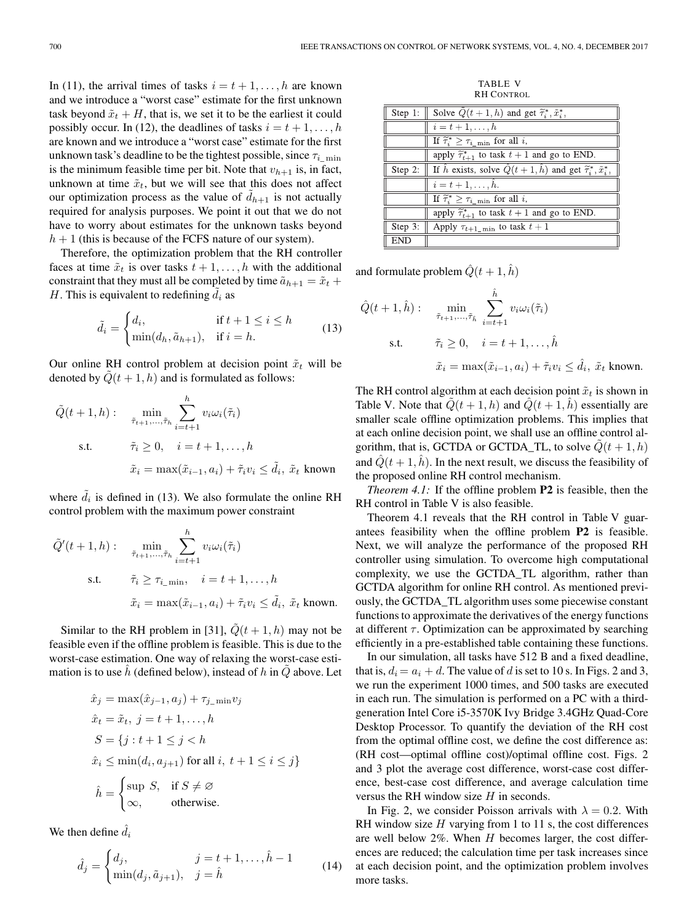In (11), the arrival times of tasks  $i = t + 1, \ldots, h$  are known and we introduce a "worst case" estimate for the first unknown task beyond  $\tilde{x}_t + H$ , that is, we set it to be the earliest it could possibly occur. In (12), the deadlines of tasks  $i = t + 1, \ldots, h$ are known and we introduce a "worst case" estimate for the first unknown task's deadline to be the tightest possible, since  $\tau_{i_{min}}$ is the minimum feasible time per bit. Note that  $v_{h+1}$  is, in fact, unknown at time  $\tilde{x}_t$ , but we will see that this does not affect our optimization process as the value of  $\tilde{d}_{h+1}$  is not actually required for analysis purposes. We point it out that we do not have to worry about estimates for the unknown tasks beyond  $h + 1$  (this is because of the FCFS nature of our system).

Therefore, the optimization problem that the RH controller faces at time  $\tilde{x}_t$  is over tasks  $t + 1, \ldots, h$  with the additional constraint that they must all be completed by time  $\tilde{a}_{h+1} = \tilde{x}_t + \tilde{x}_t$ H. This is equivalent to redefining  $\tilde{d}_i$  as

$$
\tilde{d}_i = \begin{cases} d_i, & \text{if } t + 1 \le i \le h \\ \min(d_h, \tilde{a}_{h+1}), & \text{if } i = h. \end{cases} \tag{13}
$$

Our online RH control problem at decision point  $\tilde{x}_t$  will be denoted by  $Q(t + 1, h)$  and is formulated as follows:

$$
\tilde{Q}(t+1,h): \min_{\tilde{\tau}_{t+1},\dots,\tilde{\tau}_h} \sum_{i=t+1}^h v_i \omega_i(\tilde{\tau}_i)
$$
\ns.t. 
$$
\tilde{\tau}_i \ge 0, \quad i = t+1,\dots,h
$$
\n
$$
\tilde{x}_i = \max(\tilde{x}_{i-1}, a_i) + \tilde{\tau}_i v_i \le \tilde{d}_i, \tilde{x}_t \text{ known}
$$

where  $\tilde{d}_i$  is defined in (13). We also formulate the online RH control problem with the maximum power constraint

$$
\tilde{Q}'(t+1,h): \min_{\tilde{\tau}_{t+1},\dots,\tilde{\tau}_h} \sum_{i=t+1}^h v_i \omega_i(\tilde{\tau}_i)
$$
\ns.t. 
$$
\tilde{\tau}_i \geq \tau_{i_{-1}} \mathbf{v}_i, \quad i = t+1, \dots, h
$$
\n
$$
\tilde{x}_i = \max(\tilde{x}_{i-1}, a_i) + \tilde{\tau}_i v_i \leq \tilde{d}_i, \tilde{x}_t \text{ known.}
$$

Similar to the RH problem in [31],  $\tilde{Q}(t+1, h)$  may not be feasible even if the offline problem is feasible. This is due to the worst-case estimation. One way of relaxing the worst-case estimation is to use h (defined below), instead of h in  $Q$  above. Let

$$
\hat{x}_j = \max(\hat{x}_{j-1}, a_j) + \tau_{j_{-}}\min v_j
$$
\n
$$
\hat{x}_t = \tilde{x}_t, \ j = t + 1, \dots, h
$$
\n
$$
S = \{j : t + 1 \le j < h
$$
\n
$$
\hat{x}_i \le \min(d_i, a_{j+1}) \text{ for all } i, \ t + 1 \le i \le j\}
$$
\n
$$
\hat{h} = \begin{cases}\n\sup S, & \text{if } S \neq \varnothing \\
\infty, & \text{otherwise.}\n\end{cases}
$$

We then define  $\hat{d}_i$ 

$$
\hat{d}_j = \begin{cases} d_j, & j = t + 1, ..., \hat{h} - 1 \\ \min(d_j, \tilde{a}_{j+1}), & j = \hat{h} \end{cases}
$$
(14)

TABLE V RH CONTROL

| $\parallel$ Step 1: | Solve $Q(t+1, h)$ and get $\tilde{\tau}_i^*, \tilde{x}_i^*,$                                                 |
|---------------------|--------------------------------------------------------------------------------------------------------------|
|                     | $i=t+1,\ldots,h$                                                                                             |
|                     | If $\widetilde{\tau}_i^* \geq \tau_i$ min for all i,                                                         |
|                     | apply $\tilde{\tau}_{t+1}^*$ to task $t+1$ and go to END.                                                    |
|                     | <b>Step 2:</b> If $\hat{h}$ exists, solve $\hat{Q}(t+1, \hat{h})$ and get $\tilde{\tau}_i^*, \tilde{x}_i^*,$ |
|                     | $i=t+1,\ldots,h.$                                                                                            |
|                     | If $\widetilde{\tau}_i^* \geq \tau_{i_{\text{min}}}$ for all i,                                              |
|                     | apply $\widetilde{\tau}_{t+1}^*$ to task $t+1$ and go to END.                                                |
| Step 3:             | Apply $\tau_{t+1\_min}$ to task $t+1$                                                                        |
| $\parallel$ END     |                                                                                                              |

and formulate problem  $\hat{Q}(t+1,\hat{h})$ 

$$
\hat{Q}(t+1,\hat{h}): \min_{\tilde{\tau}_{t+1},\dots,\tilde{\tau}_{\hat{h}}} \sum_{i=t+1}^{\hat{h}} v_i \omega_i(\tilde{\tau}_i)
$$
\ns.t. 
$$
\tilde{\tau}_i \ge 0, \quad i = t+1,\dots,\hat{h}
$$
\n
$$
\tilde{x}_i = \max(\tilde{x}_{i-1}, a_i) + \tilde{\tau}_i v_i \le \hat{d}_i, \ \tilde{x}_t \text{ known.}
$$

The RH control algorithm at each decision point  $\tilde{x}_t$  is shown in Table V. Note that  $\tilde{Q}(t+1, h)$  and  $\hat{Q}(t+1, \hat{h})$  essentially are smaller scale offline optimization problems. This implies that at each online decision point, we shall use an offline control algorithm, that is, GCTDA or GCTDA\_TL, to solve  $Q(t + 1, h)$ and  $\hat{Q}(t+1, \hat{h})$ . In the next result, we discuss the feasibility of the proposed online RH control mechanism.

*Theorem 4.1:* If the offline problem **P2** is feasible, then the RH control in Table V is also feasible.

Theorem 4.1 reveals that the RH control in Table V guarantees feasibility when the offline problem **P2** is feasible. Next, we will analyze the performance of the proposed RH controller using simulation. To overcome high computational complexity, we use the GCTDA\_TL algorithm, rather than GCTDA algorithm for online RH control. As mentioned previously, the GCTDA\_TL algorithm uses some piecewise constant functions to approximate the derivatives of the energy functions at different  $\tau$ . Optimization can be approximated by searching efficiently in a pre-established table containing these functions.

In our simulation, all tasks have 512 B and a fixed deadline, that is,  $d_i = a_i + d$ . The value of d is set to 10 s. In Figs. 2 and 3, we run the experiment 1000 times, and 500 tasks are executed in each run. The simulation is performed on a PC with a thirdgeneration Intel Core i5-3570K Ivy Bridge 3.4GHz Quad-Core Desktop Processor. To quantify the deviation of the RH cost from the optimal offline cost, we define the cost difference as: (RH cost—optimal offline cost)/optimal offline cost. Figs. 2 and 3 plot the average cost difference, worst-case cost difference, best-case cost difference, and average calculation time versus the RH window size H in seconds.

In Fig. 2, we consider Poisson arrivals with  $\lambda = 0.2$ . With RH window size  $H$  varying from 1 to 11 s, the cost differences are well below  $2\%$ . When  $H$  becomes larger, the cost differences are reduced; the calculation time per task increases since at each decision point, and the optimization problem involves more tasks.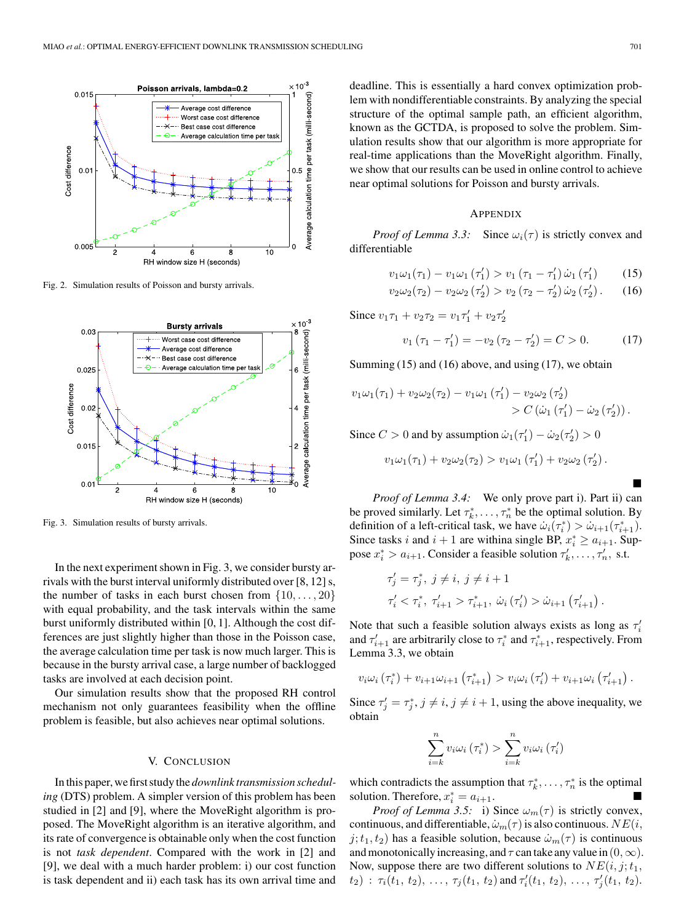

Fig. 2. Simulation results of Poisson and bursty arrivals.



Fig. 3. Simulation results of bursty arrivals.

In the next experiment shown in Fig. 3, we consider bursty arrivals with the burst interval uniformly distributed over [8, 12] s, the number of tasks in each burst chosen from  $\{10,\ldots,20\}$ with equal probability, and the task intervals within the same burst uniformly distributed within [0, 1]. Although the cost differences are just slightly higher than those in the Poisson case, the average calculation time per task is now much larger. This is because in the bursty arrival case, a large number of backlogged tasks are involved at each decision point.

Our simulation results show that the proposed RH control mechanism not only guarantees feasibility when the offline problem is feasible, but also achieves near optimal solutions.

## V. CONCLUSION

In this paper, we first study the *downlink transmission scheduling* (DTS) problem. A simpler version of this problem has been studied in [2] and [9], where the MoveRight algorithm is proposed. The MoveRight algorithm is an iterative algorithm, and its rate of convergence is obtainable only when the cost function is not *task dependent*. Compared with the work in [2] and [9], we deal with a much harder problem: i) our cost function is task dependent and ii) each task has its own arrival time and

deadline. This is essentially a hard convex optimization problem with nondifferentiable constraints. By analyzing the special structure of the optimal sample path, an efficient algorithm, known as the GCTDA, is proposed to solve the problem. Simulation results show that our algorithm is more appropriate for real-time applications than the MoveRight algorithm. Finally, we show that our results can be used in online control to achieve near optimal solutions for Poisson and bursty arrivals.

#### APPENDIX

*Proof of Lemma 3.3:* Since  $\omega_i(\tau)$  is strictly convex and differentiable

$$
v_1 \omega_1(\tau_1) - v_1 \omega_1(\tau_1') > v_1 (\tau_1 - \tau_1') \dot{\omega}_1(\tau_1')
$$
 (15)

$$
v_2 \omega_2(\tau_2) - v_2 \omega_2(\tau_2') > v_2(\tau_2 - \tau_2') \dot{\omega}_2(\tau_2'). \tag{16}
$$

Since  $v_1 \tau_1 + v_2 \tau_2 = v_1 \tau_1' + v_2 \tau_2'$ 

$$
v_1(\tau_1 - \tau_1') = -v_2(\tau_2 - \tau_2') = C > 0.
$$
 (17)

Summing  $(15)$  and  $(16)$  above, and using  $(17)$ , we obtain

$$
v_1 \omega_1(\tau_1) + v_2 \omega_2(\tau_2) - v_1 \omega_1 (\tau_1') - v_2 \omega_2 (\tau_2')
$$
  
>  $C (\dot{\omega}_1 (\tau_1') - \dot{\omega}_2 (\tau_2')).$ 

Since  $C > 0$  and by assumption  $\dot{\omega}_1(\tau_1') - \dot{\omega}_2(\tau_2') > 0$ 

$$
v_1 \omega_1(\tau_1) + v_2 \omega_2(\tau_2) > v_1 \omega_1(\tau_1') + v_2 \omega_2(\tau_2').
$$

-*Proof of Lemma 3.4:* We only prove part i). Part ii) can be proved similarly. Let  $\tau_k^*, \ldots, \tau_n^*$  be the optimal solution. By definition of a left-critical task, we have  $\dot{\omega}_i(\tau_i^*) > \dot{\omega}_{i+1}(\tau_{i+1}^*)$ . Since tasks *i* and  $i + 1$  are withina single BP,  $x_i^* \ge a_{i+1}$ . Suppose  $x_i^* > a_{i+1}$ . Consider a feasible solution  $\tau'_k, \ldots, \tau'_n$ , s.t.

$$
\tau'_{j} = \tau_{j}^{*}, \ j \neq i, \ j \neq i+1
$$
  

$$
\tau'_{i} < \tau_{i}^{*}, \ \tau'_{i+1} > \tau_{i+1}^{*}, \ \dot{\omega}_{i} \left( \tau'_{i} \right) > \dot{\omega}_{i+1} \left( \tau'_{i+1} \right).
$$

Note that such a feasible solution always exists as long as  $\tau_i'$ and  $\tau'_{i+1}$  are arbitrarily close to  $\tau_i^*$  and  $\tau_{i+1}^*$ , respectively. From Lemma 3.3, we obtain

$$
v_i \omega_i (\tau_i^*) + v_{i+1} \omega_{i+1} (\tau_{i+1}^*) > v_i \omega_i (\tau_i') + v_{i+1} \omega_i (\tau_{i+1}').
$$

Since  $\tau'_j = \tau_j^*, j \neq i, j \neq i + 1$ , using the above inequality, we obtain

$$
\sum_{i=k}^{n} v_i \omega_i (\tau_i^*) > \sum_{i=k}^{n} v_i \omega_i (\tau_i')
$$

which contradicts the assumption that  $\tau_k^*, \ldots, \tau_n^*$  is the optimal solution. Therefore,  $x_i^* = a_{i+1}$ .

*Proof of Lemma 3.5:* i) Since  $\omega_m(\tau)$  is strictly convex, continuous, and differentiable,  $\dot{\omega}_m(\tau)$  is also continuous.  $NE(i,$  $j; t_1, t_2$  has a feasible solution, because  $\dot{\omega}_m(\tau)$  is continuous and monotonically increasing, and  $\tau$  can take any value in  $(0, \infty)$ . Now, suppose there are two different solutions to  $NE(i, j; t_1, t_2)$  $(t_2)$ :  $\tau_i(t_1, t_2), \ldots, \tau_j(t_1, t_2)$  and  $\tau'_i(t_1, t_2), \ldots, \tau'_j(t_1, t_2)$ .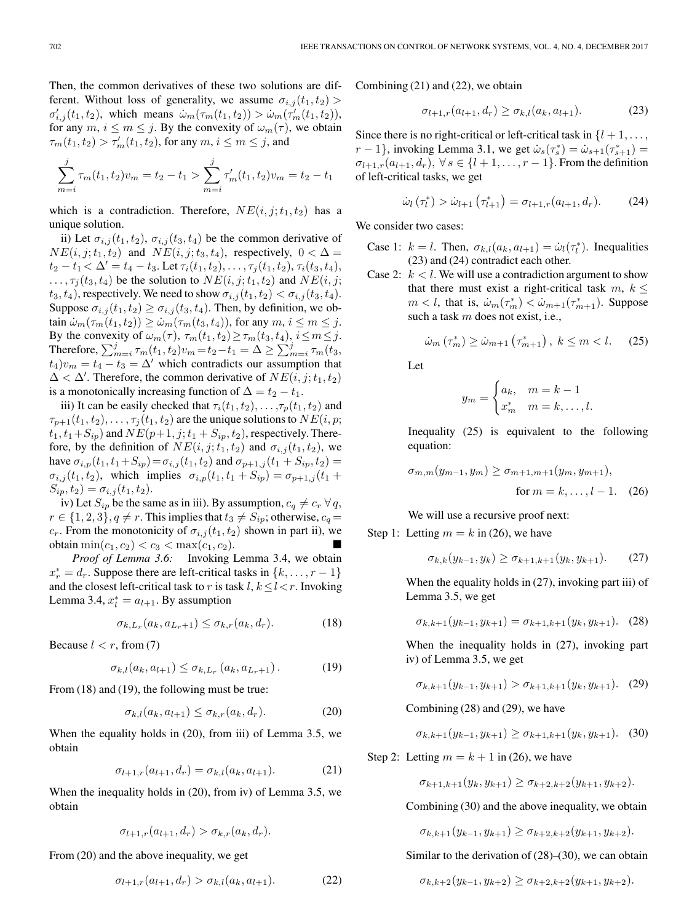Then, the common derivatives of these two solutions are different. Without loss of generality, we assume  $\sigma_{i,j}(t_1, t_2)$  $\sigma'_{i,j}(t_1, t_2)$ , which means  $\dot{\omega}_m(\tau_m(t_1, t_2)) > \dot{\omega}_m(\tau'_m(t_1, t_2)),$ for any  $m, i \leq m \leq j$ . By the convexity of  $\omega_m(\tau)$ , we obtain  $\tau_m(t_1, t_2) > \tau'_m(t_1, t_2)$ , for any  $m, i \leq m \leq j$ , and

$$
\sum_{m=i}^{j} \tau_m(t_1, t_2) v_m = t_2 - t_1 > \sum_{m=i}^{j} \tau'_m(t_1, t_2) v_m = t_2 - t_1
$$

which is a contradiction. Therefore,  $NE(i, j; t_1, t_2)$  has a unique solution.

ii) Let  $\sigma_{i,j}(t_1, t_2)$ ,  $\sigma_{i,j}(t_3, t_4)$  be the common derivative of  $NE(i, j; t_1, t_2)$  and  $NE(i, j; t_3, t_4)$ , respectively,  $0 < \Delta =$  $t_2 - t_1 < \Delta' = t_4 - t_3$ . Let  $\tau_i(t_1, t_2), \ldots, \tau_j(t_1, t_2), \tau_i(t_3, t_4)$ ,  $\ldots, \tau_j(t_3, t_4)$  be the solution to  $NE(i, j; t_1, t_2)$  and  $NE(i, j; t_1, t_2)$  $t_3, t_4$ ), respectively. We need to show  $\sigma_{i,j}(t_1, t_2) < \sigma_{i,j}(t_3, t_4)$ . Suppose  $\sigma_{i,j}(t_1, t_2) \geq \sigma_{i,j}(t_3, t_4)$ . Then, by definition, we obtain  $\dot{\omega}_m(\tau_m(t_1, t_2)) \ge \dot{\omega}_m(\tau_m(t_3, t_4))$ , for any  $m, i \le m \le j$ . By the convexity of  $\omega_m(\tau)$ ,  $\tau_m(t_1, t_2) \geq \tau_m(t_3, t_4)$ ,  $i \leq m \leq j$ . Therefore,  $\sum_{m=i}^{j} \tau_m(t_1, t_2) v_m = t_2 - t_1 = \Delta \ge \sum_{m=i}^{j} \tau_m(t_3, t_2)$  $t_4)v_m = t_4 - t_3 = \Delta'$  which contradicts our assumption that  $\Delta < \Delta'$ . Therefore, the common derivative of  $NE(i, j; t_1, t_2)$ is a monotonically increasing function of  $\Delta = t_2 - t_1$ .

iii) It can be easily checked that  $\tau_i(t_1, t_2), \ldots, \tau_p(t_1, t_2)$  and  $\tau_{p+1}(t_1, t_2), \ldots, \tau_j(t_1, t_2)$  are the unique solutions to  $NE(i, p;$  $t_1, t_1+S_{ip}$ ) and  $NE(p+1, j; t_1+S_{ip}, t_2)$ , respectively. Therefore, by the definition of  $NE(i, j; t_1, t_2)$  and  $\sigma_{i,j}(t_1, t_2)$ , we have  $\sigma_{i,p}(t_1, t_1+S_{ip})=\sigma_{i,j}(t_1, t_2)$  and  $\sigma_{p+1,j}(t_1+S_{ip}, t_2)=$  $\sigma_{i,j}(t_1, t_2)$ , which implies  $\sigma_{i,p}(t_1, t_1 + S_{ip}) = \sigma_{p+1,j}(t_1 +$  $S_{ip}, t_2) = \sigma_{i,j}(t_1, t_2).$ 

iv) Let  $S_{ip}$  be the same as in iii). By assumption,  $c_q \neq c_r \,\forall q$ ,  $r \in \{1, 2, 3\}, q \neq r$ . This implies that  $t_3 \neq S_{ip}$ ; otherwise,  $c_q =$  $c_r$ . From the monotonicity of  $\sigma_{i,j}(t_1, t_2)$  shown in part ii), we obtain  $\min(c_1, c_2) < c_3 < \max(c_1, c_2)$ .

*Proof of Lemma 3.6:* Invoking Lemma 3.4, we obtain  $x_r^* = d_r$ . Suppose there are left-critical tasks in  $\{k, \ldots, r-1\}$ and the closest left-critical task to r is task  $l, k \le l < r$ . Invoking Lemma 3.4,  $x_l^* = a_{l+1}$ . By assumption

$$
\sigma_{k,L_r}(a_k, a_{L_r+1}) \le \sigma_{k,r}(a_k, d_r). \tag{18}
$$

Because  $l < r$ , from (7)

$$
\sigma_{k,l}(a_k, a_{l+1}) \le \sigma_{k,L_r}(a_k, a_{L_r+1}). \tag{19}
$$

From (18) and (19), the following must be true:

$$
\sigma_{k,l}(a_k, a_{l+1}) \le \sigma_{k,r}(a_k, d_r). \tag{20}
$$

When the equality holds in (20), from iii) of Lemma 3.5, we obtain

$$
\sigma_{l+1,r}(a_{l+1},d_r) = \sigma_{k,l}(a_k,a_{l+1}). \tag{21}
$$

When the inequality holds in (20), from iv) of Lemma 3.5, we obtain

$$
\sigma_{l+1,r}(a_{l+1},d_r) > \sigma_{k,r}(a_k,d_r).
$$

From (20) and the above inequality, we get

$$
\sigma_{l+1,r}(a_{l+1},d_r) > \sigma_{k,l}(a_k,a_{l+1}). \tag{22}
$$

Combining (21) and (22), we obtain

$$
\sigma_{l+1,r}(a_{l+1},d_r) \ge \sigma_{k,l}(a_k,a_{l+1}). \tag{23}
$$

Since there is no right-critical or left-critical task in  $\{l + 1, \ldots, l\}$  $r-1$ , invoking Lemma 3.1, we get  $\dot{\omega}_s(\tau_s^*) = \dot{\omega}_{s+1}(\tau_{s+1}^*) =$  $\sigma_{l+1,r}(a_{l+1}, d_r)$ ,  $\forall s \in \{l+1,\ldots,r-1\}$ . From the definition of left-critical tasks, we get

$$
\dot{\omega}_l(\tau_l^*) > \dot{\omega}_{l+1}(\tau_{l+1}^*) = \sigma_{l+1,r}(a_{l+1}, d_r). \tag{24}
$$

We consider two cases:

- Case 1:  $k = l$ . Then,  $\sigma_{k,l}(a_k, a_{l+1}) = \dot{\omega}_l(\tau_l^*)$ . Inequalities (23) and (24) contradict each other.
- Case 2:  $k < l$ . We will use a contradiction argument to show that there must exist a right-critical task  $m, k \leq$  $m < l$ , that is,  $\dot{\omega}_m(\tau_m^*) < \dot{\omega}_{m+1}(\tau_{m+1}^*)$ . Suppose such a task m does not exist, i.e.,

$$
\dot{\omega}_m \left( \tau_m^* \right) \ge \dot{\omega}_{m+1} \left( \tau_{m+1}^* \right), \ k \le m < l. \tag{25}
$$

Let

$$
y_m = \begin{cases} a_k, & m = k - 1 \\ x_m^* & m = k, \dots, l. \end{cases}
$$

Inequality (25) is equivalent to the following equation:

$$
\sigma_{m,m}(y_{m-1}, y_m) \ge \sigma_{m+1,m+1}(y_m, y_{m+1}),
$$
  
for  $m = k, ..., l - 1$ . (26)

We will use a recursive proof next:

Step 1: Letting  $m = k$  in (26), we have

$$
\sigma_{k,k}(y_{k-1}, y_k) \ge \sigma_{k+1,k+1}(y_k, y_{k+1}). \tag{27}
$$

When the equality holds in (27), invoking part iii) of Lemma 3.5, we get

$$
\sigma_{k,k+1}(y_{k-1}, y_{k+1}) = \sigma_{k+1,k+1}(y_k, y_{k+1}). \quad (28)
$$

When the inequality holds in (27), invoking part iv) of Lemma 3.5, we get

$$
\sigma_{k,k+1}(y_{k-1}, y_{k+1}) > \sigma_{k+1,k+1}(y_k, y_{k+1}). \quad (29)
$$

Combining (28) and (29), we have

$$
\sigma_{k,k+1}(y_{k-1}, y_{k+1}) \ge \sigma_{k+1,k+1}(y_k, y_{k+1}). \quad (30)
$$

Step 2: Letting  $m = k + 1$  in (26), we have

 $\sigma_{k+1,k+1}(y_k,y_{k+1}) \geq \sigma_{k+2,k+2}(y_{k+1},y_{k+2}).$ 

Combining (30) and the above inequality, we obtain

$$
\sigma_{k,k+1}(y_{k-1}, y_{k+1}) \ge \sigma_{k+2,k+2}(y_{k+1}, y_{k+2}).
$$

Similar to the derivation of (28)–(30), we can obtain

$$
\sigma_{k,k+2}(y_{k-1},y_{k+2}) \ge \sigma_{k+2,k+2}(y_{k+1},y_{k+2}).
$$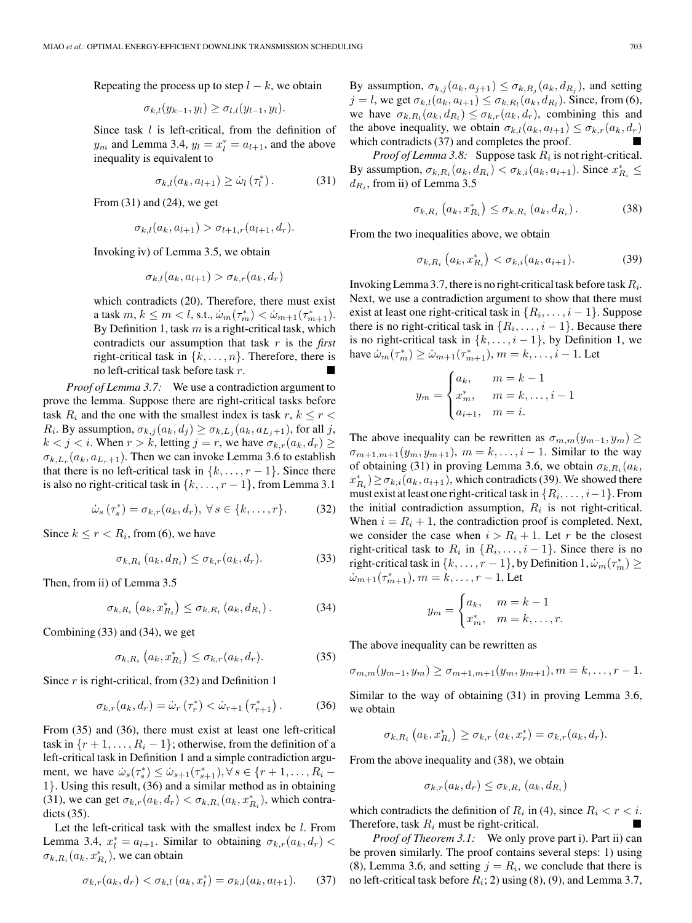Repeating the process up to step  $l - k$ , we obtain

$$
\sigma_{k,l}(y_{k-1},y_l)\geq \sigma_{l,l}(y_{l-1},y_l).
$$

Since task  $l$  is left-critical, from the definition of  $y_m$  and Lemma 3.4,  $y_l = x_l^* = a_{l+1}$ , and the above inequality is equivalent to

$$
\sigma_{k,l}(a_k, a_{l+1}) \geq \dot{\omega}_l(\tau_l^*).
$$
 (31)

From  $(31)$  and  $(24)$ , we get

$$
\sigma_{k,l}(a_k, a_{l+1}) > \sigma_{l+1,r}(a_{l+1}, d_r).
$$

Invoking iv) of Lemma 3.5, we obtain

$$
\sigma_{k,l}(a_k, a_{l+1}) > \sigma_{k,r}(a_k, d_r)
$$

which contradicts (20). Therefore, there must exist a task  $m, k \leq m < l$ , s.t.,  $\dot{\omega}_m(\tau_m^*) < \dot{\omega}_{m+1}(\tau_{m+1}^*)$ . By Definition 1, task  $m$  is a right-critical task, which contradicts our assumption that task r is the *first* right-critical task in  $\{k, \ldots, n\}$ . Therefore, there is no left-critical task before task  $r$ .

*Proof of Lemma 3.7:* We use a contradiction argument to prove the lemma. Suppose there are right-critical tasks before task  $R_i$  and the one with the smallest index is task  $r, k \leq r <$  $R_i$ . By assumption,  $\sigma_{k,j}(a_k, d_j) \geq \sigma_{k,L_j}(a_k, a_{L_j+1})$ , for all j,  $k < j < i$ . When  $r > k$ , letting  $j = r$ , we have  $\sigma_{k,r}(a_k, d_r) \geq$  $\sigma_{k,L_r}(a_k, a_{L_r+1})$ . Then we can invoke Lemma 3.6 to establish that there is no left-critical task in  $\{k,\ldots,r-1\}$ . Since there is also no right-critical task in  $\{k, \ldots, r-1\}$ , from Lemma 3.1

$$
\dot{\omega}_s(\tau_s^*) = \sigma_{k,r}(a_k, d_r), \ \forall \, s \in \{k, \dots, r\}.
$$

Since  $k \le r < R_i$ , from (6), we have

$$
\sigma_{k,R_i}(a_k, d_{R_i}) \le \sigma_{k,r}(a_k, d_r). \tag{33}
$$

Then, from ii) of Lemma 3.5

$$
\sigma_{k,R_i}\left(a_k, x_{R_i}^*\right) \leq \sigma_{k,R_i}\left(a_k, d_{R_i}\right). \tag{34}
$$

Combining (33) and (34), we get

$$
\sigma_{k,R_i}\left(a_k, x_{R_i}^*\right) \le \sigma_{k,r}(a_k, d_r). \tag{35}
$$

Since  $r$  is right-critical, from (32) and Definition 1

$$
\sigma_{k,r}(a_k, d_r) = \dot{\omega}_r(\tau_r^*) < \dot{\omega}_{r+1}(\tau_{r+1}^*)\,. \tag{36}
$$

From (35) and (36), there must exist at least one left-critical task in  $\{r+1,\ldots,R_i-1\}$ ; otherwise, from the definition of a left-critical task in Definition 1 and a simple contradiction argument, we have  $\dot{\omega}_s(\tau_s^*) \leq \dot{\omega}_{s+1}(\tau_{s+1}^*), \forall s \in \{r+1,\ldots,R_i-\}$ 1}. Using this result, (36) and a similar method as in obtaining (31), we can get  $\sigma_{k,r}(a_k, d_r) < \sigma_{k,R_i}(a_k, x_{R_i}^*)$ , which contradicts (35).

Let the left-critical task with the smallest index be  $l$ . From Lemma 3.4,  $x_l^* = a_{l+1}$ . Similar to obtaining  $\sigma_{k,r}(a_k, d_r)$  <  $\sigma_{k,R_i}(a_k, x_{R_i}^*)$ , we can obtain

$$
\sigma_{k,r}(a_k, d_r) < \sigma_{k,l}(a_k, x_l^*) = \sigma_{k,l}(a_k, a_{l+1}).\tag{37}
$$

By assumption,  $\sigma_{k,j}(a_k, a_{j+1}) \leq \sigma_{k,R_j}(a_k, d_{R_j})$ , and setting  $j = l$ , we get  $\sigma_{k,l}(a_k, a_{l+1}) \leq \sigma_{k,R_l}(a_k, d_{R_l})$ . Since, from (6), we have  $\sigma_{k,R_l}(a_k, d_{R_l}) \leq \sigma_{k,r}(a_k, d_r)$ , combining this and the above inequality, we obtain  $\sigma_{k,l}(a_k, a_{l+1}) \leq \sigma_{k,r}(a_k, d_r)$ which contradicts  $(37)$  and completes the proof.

*Proof of Lemma 3.8:* Suppose task  $R_i$  is not right-critical. By assumption,  $\sigma_{k,R_i}(a_k, d_{R_i}) < \sigma_{k,i}(a_k, a_{i+1})$ . Since  $x_{R_i}^* \leq$  $d_{R_i}$ , from ii) of Lemma 3.5

$$
\sigma_{k,R_i}\left(a_k, x_{R_i}^*\right) \leq \sigma_{k,R_i}\left(a_k, d_{R_i}\right). \tag{38}
$$

From the two inequalities above, we obtain

$$
\sigma_{k,R_i}\left(a_k, x_{R_i}^*\right) < \sigma_{k,i}(a_k, a_{i+1}).\tag{39}
$$

Invoking Lemma 3.7, there is no right-critical task before task  $R_i$ . Next, we use a contradiction argument to show that there must exist at least one right-critical task in  $\{R_i,\ldots,i-1\}$ . Suppose there is no right-critical task in  $\{R_i, \ldots, i-1\}$ . Because there is no right-critical task in  $\{k, \ldots, i-1\}$ , by Definition 1, we have  $\dot{\omega}_m(\tau_m^*) \ge \dot{\omega}_{m+1}(\tau_{m+1}^*), m = k, \dots, i - 1$ . Let

$$
y_m = \begin{cases} a_k, & m = k - 1 \\ x_m^*, & m = k, \dots, i - 1 \\ a_{i+1}, & m = i. \end{cases}
$$

The above inequality can be rewritten as  $\sigma_{m,m}(y_{m-1}, y_m) \geq$  $\sigma_{m+1,m+1}(y_m, y_{m+1}), m = k, \ldots, i-1$ . Similar to the way of obtaining (31) in proving Lemma 3.6, we obtain  $\sigma_{k,R_i}(a_k,$  $x_{R_i}^*$ )  $\geq \sigma_{k,i}(a_k, a_{i+1})$ , which contradicts (39). We showed there must exist at least one right-critical task in  $\{R_i,\ldots,i-1\}$ . From the initial contradiction assumption,  $R_i$  is not right-critical. When  $i = R<sub>i</sub> + 1$ , the contradiction proof is completed. Next, we consider the case when  $i > R_i + 1$ . Let r be the closest right-critical task to  $R_i$  in  $\{R_i, \ldots, i-1\}$ . Since there is no right-critical task in  $\{k, \ldots, r-1\}$ , by Definition  $1, \dot{\omega}_m(\tau_m^*) \geq 1$  $\dot{\omega}_{m+1}(\tau_{m+1}^*), m = k, \ldots, r-1$ . Let

$$
y_m = \begin{cases} a_k, & m = k - 1 \\ x_m^*, & m = k, \dots, r. \end{cases}
$$

The above inequality can be rewritten as

$$
\sigma_{m,m}(y_{m-1}, y_m) \ge \sigma_{m+1,m+1}(y_m, y_{m+1}), m = k, \ldots, r-1.
$$

Similar to the way of obtaining (31) in proving Lemma 3.6, we obtain

$$
\sigma_{k,R_i}\left(a_k,x_{R_i}^*\right) \geq \sigma_{k,r}\left(a_k,x_r^*\right) = \sigma_{k,r}(a_k,d_r).
$$

From the above inequality and (38), we obtain

$$
\sigma_{k,r}(a_k, d_r) \le \sigma_{k,R_i}(a_k, d_{R_i})
$$

which contradicts the definition of  $R_i$  in (4), since  $R_i < r < i$ . Therefore, task  $R_i$  must be right-critical.

*Proof of Theorem 3.1:* We only prove part i). Part ii) can be proven similarly. The proof contains several steps: 1) using (8), Lemma 3.6, and setting  $j = R_i$ , we conclude that there is no left-critical task before  $R_i$ ; 2) using (8), (9), and Lemma 3.7,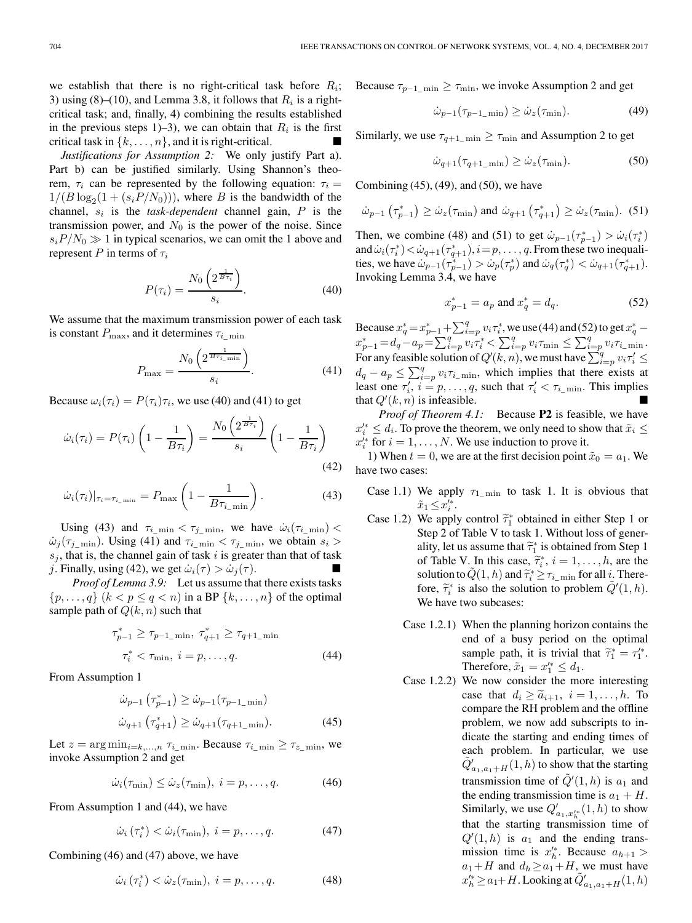we establish that there is no right-critical task before  $R_i$ ; 3) using (8)–(10), and Lemma 3.8, it follows that  $R_i$  is a rightcritical task; and, finally, 4) combining the results established in the previous steps 1)–3), we can obtain that  $R_i$  is the first critical task in  $\{k, \ldots, n\}$ , and it is right-critical.

*Justifications for Assumption 2:* We only justify Part a). Part b) can be justified similarly. Using Shannon's theorem,  $\tau_i$  can be represented by the following equation:  $\tau_i$  =  $1/(B \log_2(1 + (s_i P/N_0)))$ , where B is the bandwidth of the channel,  $s_i$  is the *task-dependent* channel gain,  $P$  is the transmission power, and  $N_0$  is the power of the noise. Since  $s_i P/N_0 \gg 1$  in typical scenarios, we can omit the 1 above and represent P in terms of  $\tau_i$ 

$$
P(\tau_i) = \frac{N_0 \left(2^{\frac{1}{B \tau_i}}\right)}{s_i}.
$$
\n(40)

We assume that the maximum transmission power of each task is constant  $P_{\text{max}}$ , and it determines  $\tau_{i_{\text{min}}}$ 

$$
P_{\max} = \frac{N_0 \left( 2^{\frac{1}{B \tau_{i_{\min}}}} \right)}{s_i}.
$$
 (41)

Because  $\omega_i(\tau_i) = P(\tau_i)\tau_i$ , we use (40) and (41) to get

$$
\dot{\omega}_i(\tau_i) = P(\tau_i) \left( 1 - \frac{1}{B\tau_i} \right) = \frac{N_0 \left( 2^{\frac{1}{B\tau_i}} \right)}{s_i} \left( 1 - \frac{1}{B\tau_i} \right)
$$
\n(42)

$$
\dot{\omega}_i(\tau_i)|_{\tau_i = \tau_{i_{\text{min}}}} = P_{\text{max}}\left(1 - \frac{1}{B\tau_{i_{\text{min}}}}\right). \tag{43}
$$

Using (43) and  $\tau_{i_{\text{min}}} < \tau_{j_{\text{min}}}$ , we have  $\dot{\omega}_i(\tau_{i_{\text{min}}})$  $\omega_j(\tau_{j_{\text{min}}})$ . Using (41) and  $\tau_{i_{\text{min}}} < \tau_{j_{\text{min}}}$ , we obtain  $s_i >$  $s_i$ , that is, the channel gain of task i is greater than that of task j. Finally, using (42), we get  $\dot{\omega}_i(\tau) > \dot{\omega}_i(\tau)$ .

*Proof of Lemma 3.9:* Let us assume that there exists tasks  $\{p, \ldots, q\}$   $(k < p \leq q < n)$  in a BP  $\{k, \ldots, n\}$  of the optimal sample path of  $Q(k, n)$  such that

$$
\tau_{p-1}^{*} \geq \tau_{p-1\_min}, \ \tau_{q+1}^{*} \geq \tau_{q+1\_min}
$$

$$
\tau_{i}^{*} < \tau_{\min}, \ i = p, \dots, q. \tag{44}
$$

From Assumption 1

$$
\dot{\omega}_{p-1} \left( \tau_{p-1}^* \right) \ge \dot{\omega}_{p-1} (\tau_{p-1\_min})
$$
  

$$
\dot{\omega}_{q+1} \left( \tau_{q+1}^* \right) \ge \dot{\omega}_{q+1} (\tau_{q+1\_min}). \tag{45}
$$

Let  $z = \arg \min_{i=k,\dots,n} \tau_{i_{\text{min}}}$ . Because  $\tau_{i_{\text{min}}} \geq \tau_{z_{\text{min}}}$ , we invoke Assumption 2 and get

$$
\dot{\omega}_i(\tau_{\min}) \le \dot{\omega}_z(\tau_{\min}), \ i = p, \dots, q. \tag{46}
$$

From Assumption 1 and (44), we have

$$
\dot{\omega}_i \left( \tau_i^* \right) < \dot{\omega}_i \left( \tau_{\min} \right), \ i = p, \dots, q. \tag{47}
$$

Combining (46) and (47) above, we have

$$
\dot{\omega}_i \left( \tau_i^* \right) < \dot{\omega}_z(\tau_{\min}), \ i = p, \dots, q. \tag{48}
$$

Because  $\tau_{p-1\_\min} \geq \tau_{\min}$ , we invoke Assumption 2 and get

$$
\dot{\omega}_{p-1}(\tau_{p-1\text{-min}}) \ge \dot{\omega}_z(\tau_{\text{min}}). \tag{49}
$$

Similarly, we use  $\tau_{q+1_{\text{min}}} \geq \tau_{\text{min}}$  and Assumption 2 to get

$$
\dot{\omega}_{q+1}(\tau_{q+1\_\min}) \ge \dot{\omega}_z(\tau_{\min}).\tag{50}
$$

Combining  $(45)$ ,  $(49)$ , and  $(50)$ , we have

$$
\dot{\omega}_{p-1}\left(\tau_{p-1}^*\right) \ge \dot{\omega}_z(\tau_{\min}) \text{ and } \dot{\omega}_{q+1}\left(\tau_{q+1}^*\right) \ge \dot{\omega}_z(\tau_{\min}). \tag{51}
$$

Then, we combine (48) and (51) to get  $\dot{\omega}_{p-1}(\tau_{p-1}^*) > \dot{\omega}_i(\tau_i^*)$ and  $\dot{\omega}_i(\tau_i^*) \! < \! \dot{\omega}_{q+1}(\tau_{q+1}^*), i \! = \! p, \ldots, q.$  From these two inequalities, we have  $\dot{\omega}_{p-1}(\tau_{p-1}^*) > \dot{\omega}_p(\tau_p^*)$  and  $\dot{\omega}_q(\tau_q^*) < \dot{\omega}_{q+1}(\tau_{q+1}^*)$ . Invoking Lemma 3.4, we have

$$
x_{p-1}^* = a_p \text{ and } x_q^* = d_q. \tag{52}
$$

Because  $x_q^* = x_{p-1}^* + \sum_{i=p}^q v_i \tau_i^*$ , we use (44) and (52) to get  $x_q^*$  –  $x_{p-1}^* = d_q - a_p = \sum_{i=p}^q v_i \tau_i^* < \sum_{i=p}^q v_i \tau_{\min} \leq \sum_{i=p}^q v_i \tau_{i\_{min}}.$ For any feasible solution of  $Q'(k, n)$ , we must have  $\sum_{i=p}^q v_i \tau'_i \leq$  $d_q - a_p \le \sum_{i=p}^q v_i \tau_{i\_{\min}},$  which implies that there exists at least one  $\tau'_i$ ,  $i = p, \ldots, q$ , such that  $\tau'_i < \tau_{i_{\text{min}}}$ . This implies that  $Q'(k, n)$  is infeasible.

*Proof of Theorem 4.1:* Because **P2** is feasible, we have  $x_i^{\prime *} \leq d_i$ . To prove the theorem, we only need to show that  $\tilde{x}_i \leq$  $x_i^{\prime*}$  for  $i = 1, \ldots, N$ . We use induction to prove it.

1) When  $t = 0$ , we are at the first decision point  $\tilde{x}_0 = a_1$ . We have two cases:

- Case 1.1) We apply  $\tau_{1\text{min}}$  to task 1. It is obvious that  $\tilde{x}_1 \leq x_i'^*$ .
- Case 1.2) We apply control  $\tilde{\tau}_1^*$  obtained in either Step 1 or Step 2 of Table V to task 1. Without loss of generality, let us assume that  $\tilde{\tau}_1^*$  is obtained from Step 1 of Table V. In this case,  $\tilde{\tau}_i^*, i = 1, \ldots, h$ , are the colution to  $\tilde{O}(1, h)$  and  $\tilde{\tau}_i^* > \tau$  for all i. There solution to  $\tilde{Q}(1, h)$  and  $\tilde{\tau}_i^* \ge \tau_{i_{\text{min}}}$  for all *i*. There-<br>for  $\tilde{\gamma}_i^*$  is also the solution to another  $\tilde{Q}'(1, h)$ fore,  $\tilde{\tau}_i^*$  is also the solution to problem  $\tilde{Q}'(1, h)$ . We have two subcases:
	- Case 1.2.1) When the planning horizon contains the end of a busy period on the optimal sample path, it is trivial that  $\tilde{\tau}_1^* = \tau_1'^*$ . Therefore,  $\tilde{x}_1 = x_1^{\prime *} \leq d_1$ .
	- Case 1.2.2) We now consider the more interesting case that  $d_i \geq \tilde{a}_{i+1}, i = 1, \ldots, h$ . To compare the RH problem and the offline problem, we now add subscripts to indicate the starting and ending times of each problem. In particular, we use  $\widetilde{Q}'_{a_1, a_1 + H}(1, h)$  to show that the starting transmission time of  $\tilde{Q}'(1, h)$  is  $a_1$  and the ending transmission time is  $a_1 + H$ . Similarly, we use  $Q'_{a_1, x'^*_{h}}(1, h)$  to show that the starting transmission time of  $Q'(1, h)$  is  $a_1$  and the ending transmission time is  $x_h^{\prime*}$ . Because  $a_{h+1}$  $a_1+H$  and  $d_h \ge a_1+H$ , we must have  $x'^{*}_{h} \ge a_1 + H$ . Looking at  $\tilde{Q}'_{a_1, a_1 + H}(1, h)$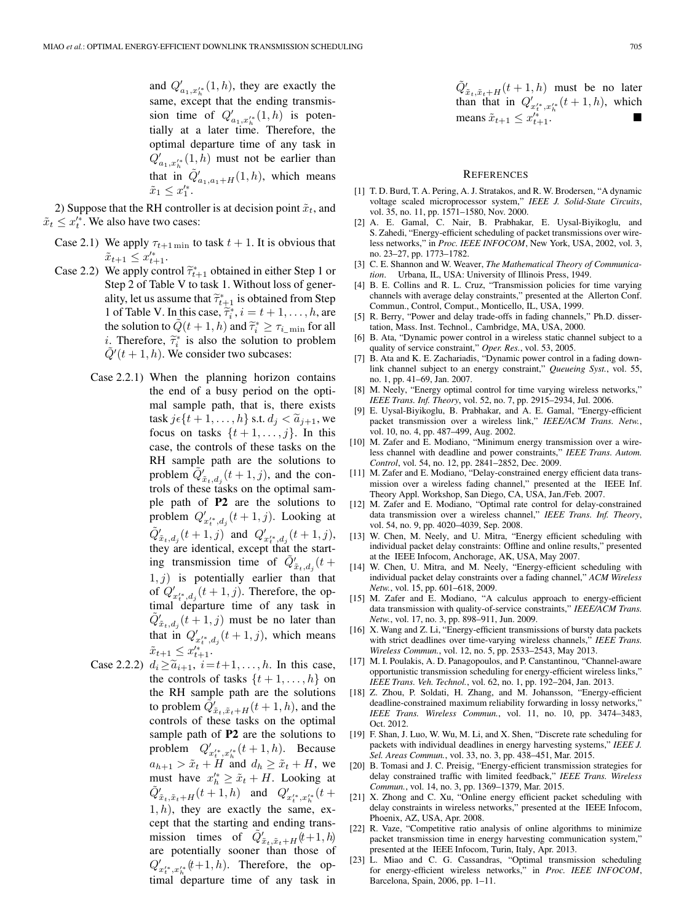and  $Q'_{a_1, x'^{*}_h}(1, h)$ , they are exactly the same, except that the ending transmission time of  $Q'_{a_1, x'^{*}_h}(1, h)$  is potentially at a later time. Therefore, the optimal departure time of any task in  $Q'_{a_1,x'^*_{h}}(1,h)$  must not be earlier than that in  $\tilde{Q}'_{a_1,a_1+H}(1,h)$ , which means  $\tilde{x}_1 \leq x_1'^*$ .

2) Suppose that the RH controller is at decision point  $\tilde{x}_t$ , and  $\tilde{x}_t \leq x_t^{\prime*}$ . We also have two cases:

- Case 2.1) We apply  $\tau_{t+1 \text{ min}}$  to task  $t + 1$ . It is obvious that  $\tilde{x}_{t+1} \leq x'^{*}_{t+1}.$
- Case 2.2) We apply control  $\tilde{\tau}_{t+1}^*$  obtained in either Step 1 or Step 2 of Table V to task 1. Without loss of generality, let us assume that  $\tilde{\tau}_{t+1}^*$  is obtained from Step 1 of Table V. In this case,  $\tilde{\tau}_i^*, i = t + 1, \ldots, h$ , are<br>the solution to  $\tilde{O}(t + 1, h)$  and  $\tilde{\tau}_i^* > 0$  for all the solution to  $\tilde{Q}(t+1, h)$  and  $\tilde{\tau}_i^* \geq \tau_{i_{\text{min}}}$  for all *i*. Therefore,  $\tilde{\tau}_i^*$  is also the solution to problem  $\tilde{Q}'(t+1, h)$ . We consider two subcases:
	- Case 2.2.1) When the planning horizon contains the end of a busy period on the optimal sample path, that is, there exists task  $j \in \{t + 1, \ldots, h\}$  s.t.  $d_j < \tilde{a}_{j+1}$ , we focus on tasks  $\{t+1,\ldots,j\}$ . In this case, the controls of these tasks on the RH sample path are the solutions to problem  $\widetilde{Q}'_{\tilde{x}_t,d_j}(t+1,j)$ , and the controls of these tasks on the optimal sample path of **P2** are the solutions to problem  $Q'_{x'^{*}_{t}, d_{j}}(t+1, j)$ . Looking at  $\tilde{Q}'_{\tilde{x}_t, d_j}(t+1, j)$  and  $Q'_{x'^{*}_{t}, d_j}(t+1, j)$ , they are identical, except that the starting transmission time of  $\tilde{Q}^{\prime}_{\tilde{x}_t,d_j}(t+$  $1, j$ ) is potentially earlier than that of  $Q'_{x'^{*}_{t},d_{j}}(t+1,j)$ . Therefore, the optimal departure time of any task in  $\tilde{Q}'_{\tilde{x}_t, d_j}(t+1, j)$  must be no later than that in  $Q'_{x_t^{i*},d_j}(t+1,j)$ , which means  $\tilde{x}_{t+1} \leq x'^{*}_{t+1}.$
	- Case 2.2.2)  $d_i \geq \tilde{a}_{i+1}, i=t+1,\ldots,h$ . In this case, the controls of tasks  $\{t+1,\ldots,h\}$  on the RH sample path are the solutions to problem  $\tilde{Q}'_{\tilde{x}_t, \tilde{x}_t+H}(t+1, h)$ , and the controls of these tasks on the optimal sample path of **P2** are the solutions to problem  $Q'_{x'^*_t, x'^*_h}(t+1, h)$ . Because  $a_{h+1} > \tilde{x}_t + H$  and  $d_h \geq \tilde{x}_t + H$ , we must have  $x'^{*}_{h} \geq \tilde{x}_{t} + H$ . Looking at  $\tilde{Q}'_{\tilde{x}_t, \tilde{x}_t+H}(t+1, h)$  and  $Q'_{x'^*_t, x'^*_h}(t+1)$  $1, h$ , they are exactly the same, except that the starting and ending transmission times of  $\tilde{Q}'_{\tilde{x}_t, \tilde{x}_t+H}(t+1, h)$ are potentially sooner than those of  $Q'_{x't^*,x'^*_{h}}(t+1,h)$ . Therefore, the op- $\lim_{t \to t_{h}}$  departure time of any task in

$$
\tilde{Q}'_{\tilde{x}_t, \tilde{x}_t+H}(t+1, h) \text{ must be no later}
$$
  
than that in  $Q'_{x_t^{t*}, x_h^{t*}}(t+1, h)$ , which  
means  $\tilde{x}_{t+1} \leq x_{t+1}^{t*}$ .

#### **REFERENCES**

- [1] T. D. Burd, T. A. Pering, A. J. Stratakos, and R. W. Brodersen, "A dynamic voltage scaled microprocessor system," *IEEE J. Solid-State Circuits*, vol. 35, no. 11, pp. 1571–1580, Nov. 2000.
- [2] A. E. Gamal, C. Nair, B. Prabhakar, E. Uysal-Biyikoglu, and S. Zahedi, "Energy-efficient scheduling of packet transmissions over wireless networks," in *Proc. IEEE INFOCOM*, New York, USA, 2002, vol. 3, no. 23–27, pp. 1773–1782.
- [3] C. E. Shannon and W. Weaver, *The Mathematical Theory of Communication*. Urbana, IL, USA: University of Illinois Press, 1949.
- [4] B. E. Collins and R. L. Cruz, "Transmission policies for time varying channels with average delay constraints," presented at the Allerton Conf. Commun., Control, Comput., Monticello, IL, USA, 1999.
- [5] R. Berry, "Power and delay trade-offs in fading channels," Ph.D. dissertation, Mass. Inst. Technol., Cambridge, MA, USA, 2000.
- [6] B. Ata, "Dynamic power control in a wireless static channel subject to a quality of service constraint," *Oper. Res.*, vol. 53, 2005.
- [7] B. Ata and K. E. Zachariadis, "Dynamic power control in a fading downlink channel subject to an energy constraint," *Queueing Syst.*, vol. 55, no. 1, pp. 41–69, Jan. 2007.
- [8] M. Neely, "Energy optimal control for time varying wireless networks," *IEEE Trans. Inf. Theory*, vol. 52, no. 7, pp. 2915–2934, Jul. 2006.
- [9] E. Uysal-Biyikoglu, B. Prabhakar, and A. E. Gamal, "Energy-efficient packet transmission over a wireless link," *IEEE/ACM Trans. Netw.*, vol. 10, no. 4, pp. 487–499, Aug. 2002.
- [10] M. Zafer and E. Modiano, "Minimum energy transmission over a wireless channel with deadline and power constraints," *IEEE Trans. Autom. Control*, vol. 54, no. 12, pp. 2841–2852, Dec. 2009.
- [11] M. Zafer and E. Modiano, "Delay-constrained energy efficient data transmission over a wireless fading channel," presented at the IEEE Inf. Theory Appl. Workshop, San Diego, CA, USA, Jan./Feb. 2007.
- [12] M. Zafer and E. Modiano, "Optimal rate control for delay-constrained data transmission over a wireless channel," *IEEE Trans. Inf. Theory*, vol. 54, no. 9, pp. 4020–4039, Sep. 2008.
- [13] W. Chen, M. Neely, and U. Mitra, "Energy efficient scheduling with individual packet delay constraints: Offline and online results," presented at the IEEE Infocom, Anchorage, AK, USA, May 2007.
- [14] W. Chen, U. Mitra, and M. Neely, "Energy-efficient scheduling with individual packet delay constraints over a fading channel," *ACM Wireless Netw.*, vol. 15, pp. 601–618, 2009.
- [15] M. Zafer and E. Modiano, "A calculus approach to energy-efficient data transmission with quality-of-service constraints," *IEEE/ACM Trans. Netw.*, vol. 17, no. 3, pp. 898–911, Jun. 2009.
- [16] X. Wang and Z. Li, "Energy-efficient transmissions of bursty data packets with strict deadlines over time-varying wireless channels," *IEEE Trans. Wireless Commun.*, vol. 12, no. 5, pp. 2533–2543, May 2013.
- [17] M. I. Poulakis, A. D. Panagopoulos, and P. Canstantinou, "Channel-aware opportunistic transmission scheduling for energy-efficient wireless links," *IEEE Trans. Veh. Technol.*, vol. 62, no. 1, pp. 192–204, Jan. 2013.
- [18] Z. Zhou, P. Soldati, H. Zhang, and M. Johansson, "Energy-efficient deadline-constrained maximum reliability forwarding in lossy networks," *IEEE Trans. Wireless Commun.*, vol. 11, no. 10, pp. 3474–3483, Oct. 2012.
- [19] F. Shan, J. Luo, W. Wu, M. Li, and X. Shen, "Discrete rate scheduling for packets with individual deadlines in energy harvesting systems," *IEEE J. Sel. Areas Commun.*, vol. 33, no. 3, pp. 438–451, Mar. 2015.
- [20] B. Tomasi and J. C. Preisig, "Energy-efficient transmission strategies for delay constrained traffic with limited feedback," *IEEE Trans. Wireless Commun.*, vol. 14, no. 3, pp. 1369–1379, Mar. 2015.
- [21] X. Zhong and C. Xu, "Online energy efficient packet scheduling with delay constraints in wireless networks," presented at the IEEE Infocom, Phoenix, AZ, USA, Apr. 2008.
- [22] R. Vaze, "Competitive ratio analysis of online algorithms to minimize packet transmission time in energy harvesting communication system," presented at the IEEE Infocom, Turin, Italy, Apr. 2013.
- [23] L. Miao and C. G. Cassandras, "Optimal transmission scheduling for energy-efficient wireless networks," in *Proc. IEEE INFOCOM*, Barcelona, Spain, 2006, pp. 1–11.